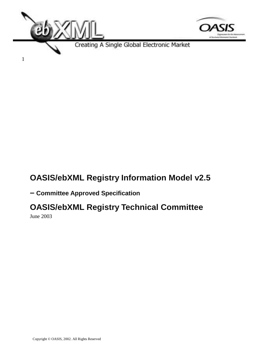

# **OASIS/ebXML Registry Information Model v2.5**

# **– Committee Approved Specification**

# **OASIS/ebXML Registry Technical Committee**

June 2003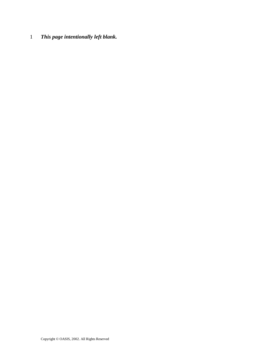1 *This page intentionally left blank.*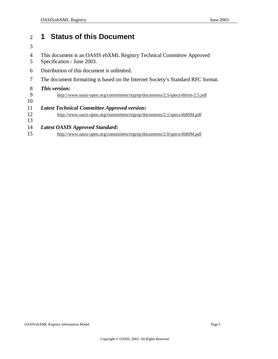# **1 Status of this Document**

- This document is an OASIS ebXML Registry Technical Committee Approved
- Specification June 2003.
- Distribution of this document is unlimited.
- The document formatting is based on the Internet Society's Standard RFC format.

#### *This version:*

- http://www.oasis-open.org/committees/regrep/documents/2.5/specs/ebrim-2.5.pdf
- *Latest Technical Committee Approved version***:**
- http://www.oasis-open.org/committees/regrep/documents/2.1/specs/ebRIM.pdf
- *Latest OASIS Approved Standard***:**
- http://www.oasis-open.org/committees/regrep/documents/2.0/specs/ebRIM.pdf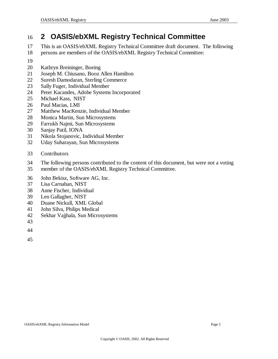# **2 OASIS/ebXML Registry Technical Committee**

- This is an OASIS/ebXML Registry Technical Committee draft document. The following
- persons are members of the OASIS/ebXML Registry Technical Committee:
- 
- Kathryn Breininger, Boeing
- Joseph M. Chiusano, Booz Allen Hamilton
- Suresh Damodaran, Sterling Commerce
- Sally Fuger, Individual Member
- Peter Kacandes, Adobe Systems Incorporated
- Michael Kass, NIST
- Paul Macias, LMI
- Matthew MacKenzie, Individual Member
- Monica Martin, Sun Microsystems
- Farrukh Najmi, Sun Microsystems
- Sanjay Patil, IONA
- Nikola Stojanovic, Individual Member
- Uday Subarayan, Sun Microsystems
- Contributors
- The following persons contributed to the content of this document, but were not a voting
- member of the OASIS/ebXML Registry Technical Committee.
- John Bekisz, Software AG, Inc.
- Lisa Carnahan, NIST
- Anne Fischer, Individual
- Len Gallagher, NIST
- Duane Nickull, XML Global
- John Silva, Philips Medical
- Sekhar Vajjhala, Sun Microsystems
-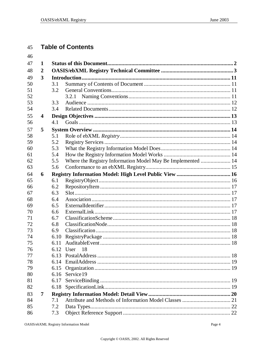#### **Table of Contents** 45

| 46 |                         |      |                                                             |    |
|----|-------------------------|------|-------------------------------------------------------------|----|
| 47 | 1                       |      |                                                             |    |
| 48 | $\overline{2}$          |      |                                                             |    |
| 49 | 3                       |      |                                                             |    |
| 50 |                         | 3.1  |                                                             |    |
| 51 |                         | 3.2  |                                                             |    |
| 52 |                         |      | 3.2.1                                                       |    |
| 53 |                         | 3.3  |                                                             |    |
| 54 |                         | 3.4  |                                                             |    |
| 55 | $\overline{\mathbf{4}}$ |      |                                                             |    |
| 56 |                         | 4.1  |                                                             |    |
| 57 | 5                       |      |                                                             |    |
| 58 |                         | 5.1  |                                                             |    |
| 59 |                         | 5.2  |                                                             |    |
| 60 |                         | 5.3  |                                                             |    |
| 61 |                         | 5.4  |                                                             |    |
| 62 |                         | 5.5  | Where the Registry Information Model May Be Implemented  14 |    |
| 63 |                         | 5.6  |                                                             |    |
| 64 | 6                       |      |                                                             |    |
| 65 |                         | 6.1  |                                                             |    |
| 66 |                         | 6.2  |                                                             |    |
| 67 |                         | 6.3  |                                                             |    |
| 68 |                         | 6.4  |                                                             |    |
| 69 |                         | 6.5  |                                                             |    |
| 70 |                         | 6.6  |                                                             |    |
| 71 |                         | 6.7  |                                                             |    |
| 72 |                         | 6.8  |                                                             |    |
| 73 |                         | 6.9  |                                                             |    |
| 74 |                         | 6.10 |                                                             |    |
| 75 |                         | 6.11 |                                                             |    |
| 76 |                         | 6.12 | User<br>18                                                  |    |
| 77 |                         |      | 6.13 PostalAddress                                          | 18 |
| 78 |                         |      |                                                             |    |
| 79 |                         | 6.15 |                                                             |    |
| 80 |                         | 6.16 | Service 19                                                  |    |
| 81 |                         | 6.17 |                                                             |    |
| 82 |                         | 6.18 |                                                             |    |
| 83 | 7                       |      |                                                             |    |
| 84 |                         | 7.1  |                                                             |    |
| 85 |                         | 7.2  |                                                             |    |
| 86 |                         | 7.3  |                                                             |    |

OASIS/ebXML Registry Information Model

Page  $4\,$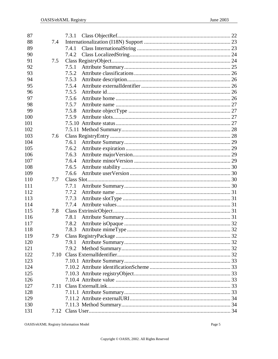| 87  |      | 7.3.1 |  |
|-----|------|-------|--|
| 88  | 7.4  |       |  |
| 89  |      | 7.4.1 |  |
| 90  |      | 7.4.2 |  |
| 91  | 7.5  |       |  |
| 92  |      | 7.5.1 |  |
| 93  |      | 7.5.2 |  |
| 94  |      | 7.5.3 |  |
| 95  |      | 7.5.4 |  |
| 96  |      | 7.5.5 |  |
| 97  |      | 7.5.6 |  |
| 98  |      | 7.5.7 |  |
| 99  |      | 7.5.8 |  |
| 100 |      | 7.5.9 |  |
| 101 |      |       |  |
| 102 |      |       |  |
| 103 | 7.6  |       |  |
| 104 |      | 7.6.1 |  |
| 105 |      | 7.6.2 |  |
| 106 |      | 7.6.3 |  |
| 107 |      | 7.6.4 |  |
| 108 |      | 7.6.5 |  |
| 109 |      | 7.6.6 |  |
| 110 | 7.7  |       |  |
| 111 |      | 7.7.1 |  |
| 112 |      | 7.7.2 |  |
| 113 |      | 7.7.3 |  |
| 114 |      | 7.7.4 |  |
| 115 | 7.8  |       |  |
| 116 |      | 7.8.1 |  |
| 117 |      | 7.8.2 |  |
| 118 |      | 7.8.3 |  |
| 119 | 7.9  |       |  |
| 120 |      | 7.9.1 |  |
| 121 |      | 7.9.2 |  |
| 122 |      |       |  |
| 123 |      |       |  |
| 124 |      |       |  |
| 125 |      |       |  |
| 126 |      |       |  |
| 127 | 7.11 |       |  |
| 128 |      |       |  |
| 129 |      |       |  |
| 130 |      |       |  |
| 131 |      |       |  |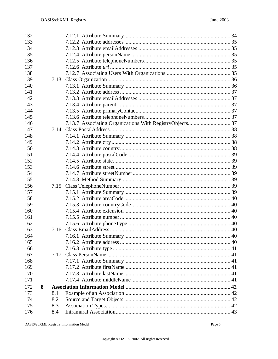| 132 |   |     |  |
|-----|---|-----|--|
| 133 |   |     |  |
| 134 |   |     |  |
| 135 |   |     |  |
| 136 |   |     |  |
| 137 |   |     |  |
| 138 |   |     |  |
| 139 |   |     |  |
| 140 |   |     |  |
| 141 |   |     |  |
| 142 |   |     |  |
| 143 |   |     |  |
| 144 |   |     |  |
| 145 |   |     |  |
| 146 |   |     |  |
| 147 |   |     |  |
| 148 |   |     |  |
| 149 |   |     |  |
| 150 |   |     |  |
| 151 |   |     |  |
| 152 |   |     |  |
| 153 |   |     |  |
| 154 |   |     |  |
| 155 |   |     |  |
| 156 |   |     |  |
| 157 |   |     |  |
| 158 |   |     |  |
| 159 |   |     |  |
| 160 |   |     |  |
| 161 |   |     |  |
| 162 |   |     |  |
| 163 |   |     |  |
| 164 |   |     |  |
| 165 |   |     |  |
| 166 |   |     |  |
| 167 |   |     |  |
| 168 |   |     |  |
| 169 |   |     |  |
| 170 |   |     |  |
| 171 |   |     |  |
| 172 | 8 |     |  |
| 173 |   | 8.1 |  |
| 174 |   | 8.2 |  |
| 175 |   | 8.3 |  |
| 176 |   | 8.4 |  |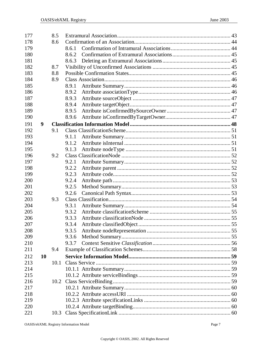| 177 |    | 8.5  |       |  |
|-----|----|------|-------|--|
| 178 |    | 8.6  |       |  |
| 179 |    |      | 8.6.1 |  |
| 180 |    |      | 8.6.2 |  |
| 181 |    |      | 8.6.3 |  |
| 182 |    | 8.7  |       |  |
| 183 |    | 8.8  |       |  |
| 184 |    | 8.9  |       |  |
| 185 |    |      | 8.9.1 |  |
| 186 |    |      | 8.9.2 |  |
| 187 |    |      | 8.9.3 |  |
| 188 |    |      | 8.9.4 |  |
| 189 |    |      | 8.9.5 |  |
| 190 |    |      | 8.9.6 |  |
| 191 | 9  |      |       |  |
| 192 |    | 9.1  |       |  |
| 193 |    |      | 9.1.1 |  |
| 194 |    |      | 9.1.2 |  |
| 195 |    |      | 9.1.3 |  |
| 196 |    | 9.2  |       |  |
| 197 |    |      | 9.2.1 |  |
| 198 |    |      | 9.2.2 |  |
| 199 |    |      | 9.2.3 |  |
| 200 |    |      | 9.2.4 |  |
| 201 |    |      | 9.2.5 |  |
| 202 |    |      | 9.2.6 |  |
| 203 |    | 9.3  |       |  |
| 204 |    |      | 9.3.1 |  |
| 205 |    |      | 9.3.2 |  |
| 206 |    |      | 9.3.3 |  |
| 207 |    |      | 9.3.4 |  |
| 208 |    |      | 9.3.5 |  |
| 209 |    |      | 9.3.6 |  |
| 210 |    |      | 9.3.7 |  |
| 211 |    | 9.4  |       |  |
| 212 | 10 |      |       |  |
| 213 |    | 10.1 |       |  |
| 214 |    |      |       |  |
| 215 |    |      |       |  |
| 216 |    | 10.2 |       |  |
| 217 |    |      |       |  |
| 218 |    |      |       |  |
| 219 |    |      |       |  |
| 220 |    |      |       |  |
| 221 |    | 10.3 |       |  |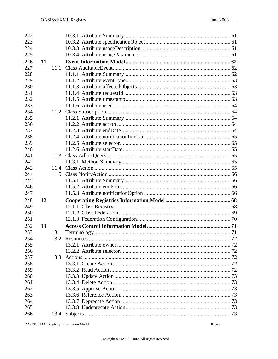| 222 |    |      |  |
|-----|----|------|--|
| 223 |    |      |  |
| 224 |    |      |  |
| 225 |    |      |  |
| 226 | 11 |      |  |
| 227 |    |      |  |
| 228 |    |      |  |
| 229 |    |      |  |
| 230 |    |      |  |
| 231 |    |      |  |
| 232 |    |      |  |
| 233 |    |      |  |
| 234 |    |      |  |
| 235 |    |      |  |
| 236 |    |      |  |
| 237 |    |      |  |
| 238 |    |      |  |
| 239 |    |      |  |
| 240 |    |      |  |
| 241 |    | 11.3 |  |
| 242 |    |      |  |
| 243 |    |      |  |
| 244 |    |      |  |
| 245 |    |      |  |
| 246 |    |      |  |
| 247 |    |      |  |
| 248 | 12 |      |  |
| 249 |    |      |  |
| 250 |    |      |  |
| 251 |    |      |  |
| 252 | 13 |      |  |
| 253 |    | 13.1 |  |
| 254 |    |      |  |
| 255 |    |      |  |
| 256 |    |      |  |
| 257 |    | 13.3 |  |
| 258 |    |      |  |
| 259 |    |      |  |
| 260 |    |      |  |
| 261 |    |      |  |
| 262 |    |      |  |
| 263 |    |      |  |
| 264 |    |      |  |
| 265 |    |      |  |
| 266 |    | 13.4 |  |

OASIS/ebXML Registry Information Model

Page 8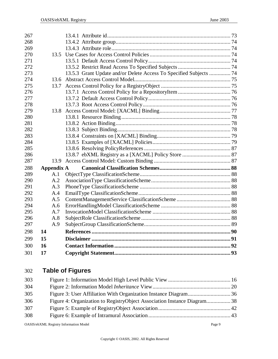| 267 |                   |                                                                    |  |
|-----|-------------------|--------------------------------------------------------------------|--|
| 268 |                   |                                                                    |  |
| 269 |                   |                                                                    |  |
| 270 |                   |                                                                    |  |
| 271 |                   |                                                                    |  |
| 272 |                   |                                                                    |  |
| 273 |                   | 13.5.3 Grant Update and/or Delete Access To Specified Subjects  74 |  |
| 274 |                   |                                                                    |  |
| 275 |                   |                                                                    |  |
| 276 |                   |                                                                    |  |
| 277 |                   |                                                                    |  |
| 278 |                   |                                                                    |  |
| 279 |                   |                                                                    |  |
| 280 |                   |                                                                    |  |
| 281 |                   |                                                                    |  |
| 282 |                   |                                                                    |  |
| 283 |                   |                                                                    |  |
| 284 |                   |                                                                    |  |
| 285 |                   |                                                                    |  |
| 286 |                   |                                                                    |  |
| 287 |                   |                                                                    |  |
| 288 | <b>Appendix A</b> |                                                                    |  |
| 289 | A.1               |                                                                    |  |
| 290 | A.2               |                                                                    |  |
| 291 | A.3               |                                                                    |  |
| 292 | A.4               |                                                                    |  |
| 293 | A.5               |                                                                    |  |
| 294 | A.6               |                                                                    |  |
| 295 | A.7               |                                                                    |  |
| 296 | A.8               |                                                                    |  |
| 297 | A.9               |                                                                    |  |
| 298 | 14                |                                                                    |  |
| 299 | 15                |                                                                    |  |
| 300 | 16                |                                                                    |  |
| 301 | 17                |                                                                    |  |

# **Table of Figures**

| 303 |  |
|-----|--|
| 304 |  |
| 305 |  |
| 306 |  |
| 307 |  |
| 308 |  |
|     |  |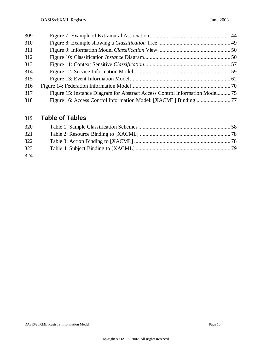| 309 |                                                                              |  |
|-----|------------------------------------------------------------------------------|--|
| 310 |                                                                              |  |
| 311 |                                                                              |  |
| 312 |                                                                              |  |
| 313 |                                                                              |  |
| 314 |                                                                              |  |
| 315 |                                                                              |  |
| 316 |                                                                              |  |
| 317 | Figure 15: Instance Diagram for Abstract Access Control Information Model 75 |  |
| 318 |                                                                              |  |

# **Table of Tables**

| 320 |  |
|-----|--|
| 321 |  |
| 322 |  |
| 323 |  |
| 324 |  |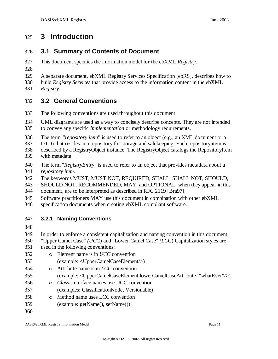# **3 Introduction**

# **3.1 Summary of Contents of Document**

- This document specifies the information model for the ebXML *Registry*.
- 

A separate document, ebXML Registry Services Specification [ebRS], describes how to

 build *Registry Services* that provide access to the information content in the ebXML *Registry*.

# **3.2 General Conventions**

- The following conventions are used throughout this document:
- UML diagrams are used as a way to concisely describe concepts. They are not intended

to convey any specific *Implementation* or methodology requirements.

- The term *"repository item*" is used to refer to an object (e.g., an XML document or a
- DTD) that resides in a repository for storage and safekeeping. Each repository item is
- described by a RegistryObject instance. The RegistryObject catalogs the RepositoryItem
- with metadata.
- The term "*RegistryEntry*" is used to refer to an object that provides metadata about a *repository item*.
- The keywords MUST, MUST NOT, REQUIRED, SHALL, SHALL NOT, SHOULD,
- SHOULD NOT, RECOMMENDED, MAY, and OPTIONAL, when they appear in this
- document, are to be interpreted as described in RFC 2119 [Bra97].
- Software practitioners MAY use this document in combination with other ebXML
- specification documents when creating ebXML compliant software.

### **3.2.1 Naming Conventions**

- 
- In order to enforce a consistent capitalization and naming convention in this document,
- "Upper Camel Case" *(UC*C) and "Lower Camel Case" *(LC*C) Capitalization styles are
- used in the following conventions:
- o Element name is in *UCC* convention
- (example: <UpperCamelCaseElement/>)
- o Attribute name is in *LCC* convention
- (example: <UpperCamelCaseElement lowerCamelCaseAttribute="whatEver"/>)
- o *Class*, Interface names use UCC convention
- (examples: ClassificationNode, Versionable)
- o Method name uses LCC convention
- (example: getName(), setName()).
-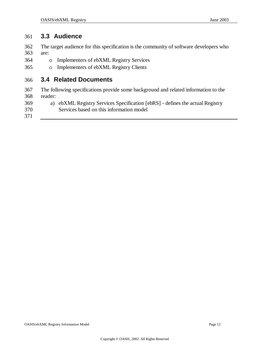# **3.3 Audience**

 The target audience for this specification is the community of software developers who are:

o Implementers of ebXML Registry Services

o Implementers of ebXML Registry Clients

# **3.4 Related Documents**

- The following specifications provide some background and related information to the reader:
- a) ebXML Registry Services Specification [ebRS] defines the actual Registry Services based on this information model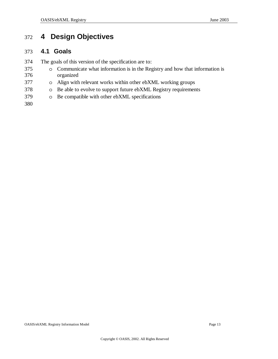# **4 Design Objectives**

### **4.1 Goals**

- The goals of this version of the specification are to:
- o Communicate what information is in the Registry and how that information is organized
- o Align with relevant works within other ebXML working groups
- 378 o Be able to evolve to support future ebXML Registry requirements
- o Be compatible with other ebXML specifications
-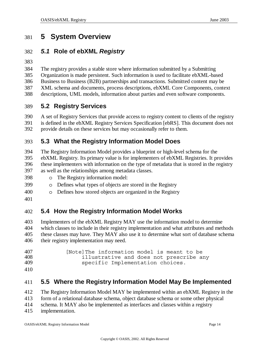# **5 System Overview**

# *5.1* **Role of ebXML** *Registry*

 The registry provides a stable store where information submitted by a Submitting Organization is made persistent. Such information is used to facilitate ebXML-based Business to Business (B2B) partnerships and transactions. Submitted content may be XML schema and documents, process descriptions, ebXML Core Components, context

descriptions, UML models, information about parties and even software components.

# **5.2 Registry Services**

 A set of Registry Services that provide access to registry content to clients of the registry is defined in the ebXML Registry Services Specification [ebRS]. This document does not provide details on these services but may occasionally refer to them.

# **5.3 What the Registry Information Model Does**

 The Registry Information Model provides a blueprint or high-level schema for the ebXML Registry. Its primary value is for implementers of ebXML Registries. It provides

these implementers with information on the type of metadata that is stored in the registry

- as well as the relationships among metadata classes.
- o The Registry information model:
- o Defines what types of objects are stored in the Registry
- o Defines how stored objects are organized in the Registry
- 

# **5.4 How the Registry Information Model Works**

 Implementers of the ebXML Registry MAY use the information model to determine which classes to include in their registry implementation and what attributes and methods these classes may have. They MAY also use it to determine what sort of database schema their registry implementation may need.

| 407 | [Note] The information model is meant to be |                                         |  |  |  |
|-----|---------------------------------------------|-----------------------------------------|--|--|--|
| 408 |                                             | illustrative and does not prescribe any |  |  |  |
| 409 |                                             | specific Implementation choices.        |  |  |  |

# **5.5 Where the Registry Information Model May Be Implemented**

- The Registry Information Model MAY be implemented within an ebXML Registry in the
- form of a relational database schema, object database schema or some other physical
- schema. It MAY also be implemented as interfaces and classes within a registry
- implementation.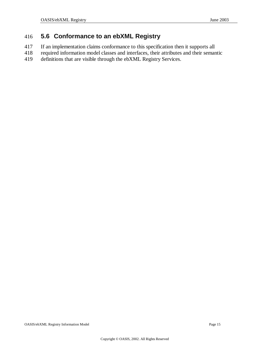# 416 **5.6 Conformance to an ebXML Registry**

- 417 If an implementation claims conformance to this specification then it supports all
- 418 required information model classes and interfaces, their attributes and their semantic
- 419 definitions that are visible through the ebXML Registry Services.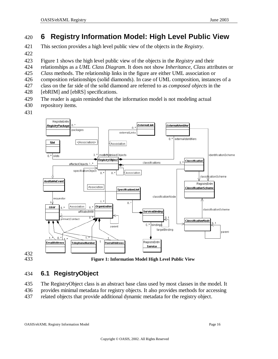# **6 Registry Information Model: High Level Public View**

- This section provides a high level public view of the objects in the *Registry*.
- 
- Figure 1 shows the high level public view of the objects in the *Registry* and their
- relationships as a *UML Class Diagram*. It does not show *Inheritance*, *Class* attributes or
- *Class* methods. The relationship links in the figure are either UML association or
- composition relationships (solid diamonds). In case of UML composition, instances of a
- class on the far side of the solid diamond are referred to as *composed objects* in the
- 428 [ebRIM] and [ebRS] specifications.
- The reader is again reminded that the information model is not modeling actual
- repository items.
- 



432<br>433

**Figure 1: Information Model High Level Public View**

# **6.1 RegistryObject**

 The RegistryObject class is an abstract base class used by most classes in the model. It provides minimal metadata for registry objects. It also provides methods for accessing related objects that provide additional dynamic metadata for the registry object.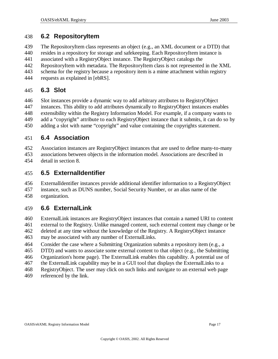# **6.2 RepositoryItem**

The RepositoryItem class represents an object (e.g., an XML document or a DTD) that

resides in a repository for storage and safekeeping. Each RepositoryItem instance is

associated with a RegistryObject instance. The RegistryObject catalogs the

- RepositoryItem with metadata. The RepositoryItem class is not represented in the XML
- schema for the registry because a repository item is a mime attachment within registry
- requests as explained in [ebRS].

# **6.3 Slot**

Slot instances provide a dynamic way to add arbitrary attributes to RegistryObject

instances. This ability to add attributes dynamically to RegistryObject instances enables

- extensibility within the Registry Information Model. For example, if a company wants to
- add a "copyright" attribute to each RegistryObject instance that it submits, it can do so by
- adding a slot with name "copyright" and value containing the copyrights statement.

# **6.4 Association**

 Association instances are RegistryObject instances that are used to define many-to-many associations between objects in the information model. Associations are described in

detail in section 8.

# **6.5 ExternalIdentifier**

 ExternalIdentifier instances provide additional identifier information to a RegistryObject instance, such as DUNS number, Social Security Number, or an alias name of the organization.

# **6.6 ExternalLink**

 ExternalLink instances are RegistryObject instances that contain a named URI to content external to the Registry. Unlike managed content, such external content may change or be deleted at any time without the knowledge of the Registry. A RegistryObject instance may be associated with any number of ExternalLinks.

- Consider the case where a Submitting Organization submits a repository item (e.g., a
- DTD) and wants to associate some external content to that object (e.g., the Submitting

Organization's home page). The ExternalLink enables this capability. A potential use of

- the ExternalLink capability may be in a GUI tool that displays the ExternalLinks to a
- RegistryObject. The user may click on such links and navigate to an external web page
- referenced by the link.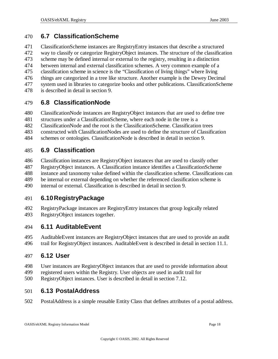# **6.7 ClassificationScheme**

 ClassificationScheme instances are RegistryEntry instances that describe a structured way to classify or categorize RegistryObject instances. The structure of the classification scheme may be defined internal or external to the registry, resulting in a distinction between internal and external classification schemes. A very common example of a classification scheme in science is the "Classification of living things" where living things are categorized in a tree like structure. Another example is the Dewey Decimal system used in libraries to categorize books and other publications. ClassificationScheme is described in detail in section 9.

# **6.8 ClassificationNode**

ClassificationNode instances are RegistryObject instances that are used to define tree

- structures under a ClassificationScheme, where each node in the tree is a
- ClassificationNode and the root is the ClassificationScheme. Classification trees
- constructed with ClassificationNodes are used to define the structure of Classification
- schemes or ontologies. ClassificationNode is described in detail in section 9.

# **6.9 Classification**

Classification instances are RegistryObject instances that are used to classify other

- RegistryObject instances. A Classification instance identifies a ClassificationScheme
- instance and taxonomy value defined within the classification scheme. Classifications can
- be internal or external depending on whether the referenced classification scheme is
- internal or external. Classification is described in detail in section 9.

# **6.10RegistryPackage**

- RegistryPackage instances are RegistryEntry instances that group logically related
- RegistryObject instances together.

# **6.11 AuditableEvent**

 AuditableEvent instances are RegistryObject instances that are used to provide an audit trail for RegistryObject instances. AuditableEvent is described in detail in section 11.1.

# **6.12 User**

- User instances are RegistryObject instances that are used to provide information about
- registered users within the Registry. User objects are used in audit trail for
- RegistryObject instances. User is described in detail in section 7.12.

### **6.13 PostalAddress**

PostalAddress is a simple reusable Entity Class that defines attributes of a postal address.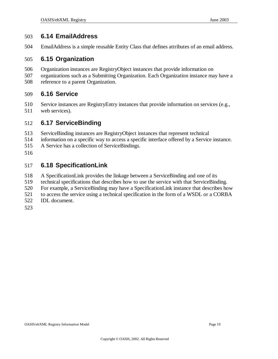#### **6.14 EmailAddress**

EmailAddress is a simple reusable Entity Class that defines attributes of an email address.

#### **6.15 Organization**

- Organization instances are RegistryObject instances that provide information on
- organizations such as a Submitting Organization. Each Organization instance may have a
- reference to a parent Organization.

### **6.16 Service**

- Service instances are RegistryEntry instances that provide information on services (e.g.,
- web services).

# **6.17 ServiceBinding**

- ServiceBinding instances are RegistryObject instances that represent technical
- information on a specific way to access a specific interface offered by a Service instance.
- A Service has a collection of ServiceBindings.
- 

# **6.18 SpecificationLink**

- A SpecificationLink provides the linkage between a ServiceBinding and one of its
- technical specifications that describes how to use the service with that ServiceBinding.
- For example, a ServiceBinding may have a SpecificationLink instance that describes how
- to access the service using a technical specification in the form of a WSDL or a CORBA
- IDL document.
-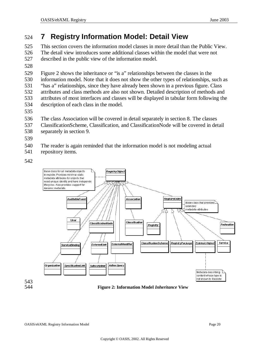# **7 Registry Information Model: Detail View**

 This section covers the information model classes in more detail than the Public View. The detail view introduces some additional classes within the model that were not described in the public view of the information model.

 Figure 2 shows the inheritance or "is a" relationships between the classes in the information model. Note that it does not show the other types of relationships, such as

"has a" relationships, since they have already been shown in a previous figure. Class

 attributes and class methods are also not shown. Detailed description of methods and attributes of most interfaces and classes will be displayed in tabular form following the

description of each class in the model.

The class Association will be covered in detail separately in section 8. The classes

- ClassificationScheme, Classification, and ClassificationNode will be covered in detail separately in section 9.
- 
- The reader is again reminded that the information model is not modeling actual
- repository items.



543<br>544

**Figure 2: Information Model** *Inheritance* **View**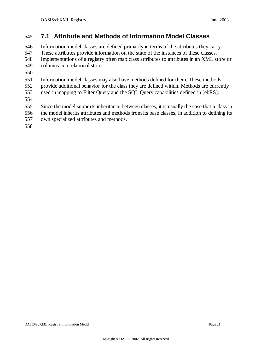# **7.1 Attribute and Methods of Information Model Classes**

Information model classes are defined primarily in terms of the attributes they carry.

These attributes provide information on the state of the instances of these classes.

Implementations of a registry often map class attributes to attributes in an XML store or

- columns in a relational store.
- 

Information model classes may also have methods defined for them. These methods

 provide additional behavior for the class they are defined within. Methods are currently used in mapping to Filter Query and the SQL Query capabilities defined in [ebRS].

 Since the model supports inheritance between classes, it is usually the case that a class in the model inherits attributes and methods from its base classes, in addition to defining its

- own specialized attributes and methods.
-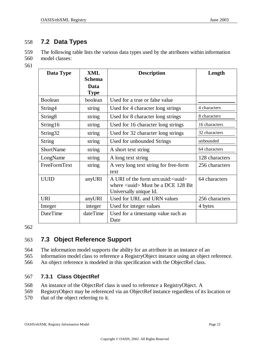# 558 **7.2 Data Types**

559 The following table lists the various data types used by the attributes within information

- 560 model classes:
- 561

| Data Type            | <b>XML</b><br><b>Schema</b><br>Data<br><b>Type</b> | <b>Description</b>                                                                                                                                | Length         |
|----------------------|----------------------------------------------------|---------------------------------------------------------------------------------------------------------------------------------------------------|----------------|
| Boolean              | boolean                                            | Used for a true or false value                                                                                                                    |                |
| String4              | string                                             | Used for 4 character long strings                                                                                                                 | 4 characters   |
| String <sub>8</sub>  | string                                             | Used for 8 character long strings                                                                                                                 | 8 characters   |
| String16             | string                                             | Used for 16 character long strings                                                                                                                | 16 characters  |
| String <sub>32</sub> | string                                             | Used for 32 character long strings                                                                                                                | 32 characters  |
| <b>String</b>        | string                                             | Used for unbounded Strings                                                                                                                        | unbounded      |
| <b>ShortName</b>     | string                                             | A short text string                                                                                                                               | 64 characters  |
| LongName             | string                                             | A long text string                                                                                                                                | 128 characters |
| FreeFormText         | string                                             | A very long text string for free-form<br>text                                                                                                     | 256 characters |
| <b>UUID</b>          | anyURI                                             | A URI of the form urn:uuid: <uuid><br/>where <math>\langle</math>uuid<math>\rangle</math> Must be a DCE 128 Bit<br/>Universally unique Id.</uuid> | 64 characters  |
| URI                  | anyURI                                             | Used for URL and URN values                                                                                                                       | 256 characters |
| Integer              | integer                                            | Used for integer values                                                                                                                           | 4 bytes        |
| <b>DateTime</b>      | dateTime                                           | Used for a timestamp value such as<br>Date                                                                                                        |                |

562

# 563 **7.3 Object Reference Support**

564 The information model supports the ability for an attribute in an instance of an

565 information model class to reference a RegistryObject instance using an object reference.

566 An object reference is modeled in this specification with the ObjectRef class.

### 567 **7.3.1 Class ObjectRef**

- 568 An instance of the ObjectRef class is used to reference a RegistryObject. A
- 569 RegistryObject may be referenced via an ObjectRef instance regardless of its location or
- 570 that of the object referring to it.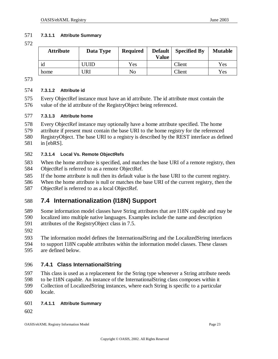#### **7.3.1.1 Attribute Summary**

| <b>Attribute</b> | Data Type | <b>Required</b> | <b>Default</b><br><b>Value</b> | <b>Specified By</b> | <b>Mutable</b> |
|------------------|-----------|-----------------|--------------------------------|---------------------|----------------|
| 1d               | UUID      | Yes             |                                | Client              | Yes            |
| home             | JRI       | No              |                                | Client              | Yes            |

#### **7.3.1.2 Attribute id**

 Every ObjectRef instance must have an id attribute. The id attribute must contain the value of the id attribute of the RegistryObject being referenced.

#### **7.3.1.3 Attribute home**

Every ObjectRef instance may optionally have a home attribute specified. The home

attribute if present must contain the base URI to the home registry for the referenced

RegistryObject. The base URI to a registry is described by the REST interface as defined

in [ebRS].

#### **7.3.1.4 Local Vs. Remote ObjectRefs**

 When the home attribute is specified, and matches the base URI of a remote registry, then ObjectRef is referred to as a remote ObjectRef.

If the home attribute is null then its default value is the base URI to the current registry.

When the home attribute is null or matches the base URI of the current registry, then the

ObjectRef is referred to as a local ObjectRef.

# **7.4 Internationalization (I18N) Support**

 Some information model classes have String attributes that are I18N capable and may be localized into multiple native languages. Examples include the name and description attributes of the RegistryObject class in 7.5.

The information model defines the InternationalString and the LocalizedString interfaces

 to support I18N capable attributes within the information model classes. These classes are defined below.

# **7.4.1 Class InternationalString**

 This class is used as a replacement for the String type whenever a String attribute needs to be I18N capable. An instance of the InternationalString class composes within it Collection of LocalizedString instances, where each String is specific to a particular locale.

#### **7.4.1.1 Attribute Summary**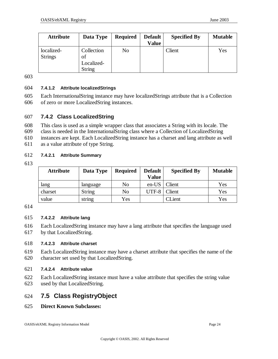| <b>Attribute</b> | Data Type     | <b>Required</b> | <b>Default</b><br>Value | <b>Specified By</b> | <b>Mutable</b> |
|------------------|---------------|-----------------|-------------------------|---------------------|----------------|
| localized-       | Collection    | N <sub>o</sub>  |                         | Client              | Yes            |
| <b>Strings</b>   | of            |                 |                         |                     |                |
|                  | Localized-    |                 |                         |                     |                |
|                  | <b>String</b> |                 |                         |                     |                |

603

#### 604 **7.4.1.2 Attribute localizedStrings**

605 Each InternationalString instance may have localizedStrings attribute that is a Collection 606 of zero or more LocalizedString instances.

#### 607 **7.4.2 Class LocalizedString**

- 608 This class is used as a simple wrapper class that associates a String with its locale. The
- 609 class is needed in the InternationalString class where a Collection of LocalizedString
- 610 instances are kept. Each LocalizedString instance has a charset and lang attribute as well
- 611 as a value attribute of type String.

#### 612 **7.4.2.1 Attribute Summary**

613

| <b>Attribute</b> | Data Type     | <b>Required</b> | <b>Default</b><br><b>Value</b> | <b>Specified By</b> | <b>Mutable</b> |
|------------------|---------------|-----------------|--------------------------------|---------------------|----------------|
| lang             | language      | No              | en-US                          | Client              | Yes            |
| charset          | <b>String</b> | No              | UTF-8                          | Client              | Yes            |
| value            | string        | Yes             |                                | <b>CLient</b>       | Yes            |

614

#### 615 **7.4.2.2 Attribute lang**

- 616 Each LocalizedString instance may have a lang attribute that specifies the language used
- 617 by that LocalizedString.

#### 618 **7.4.2.3 Attribute charset**

619 Each LocalizedString instance may have a charset attribute that specifies the name of the 620 character set used by that LocalizedString.

#### 621 **7.4.2.4 Attribute value**

622 Each LocalizedString instance must have a value attribute that specifies the string value 623 used by that LocalizedString.

# 624 **7.5 Class RegistryObject**

#### 625 **Direct Known Subclasses:**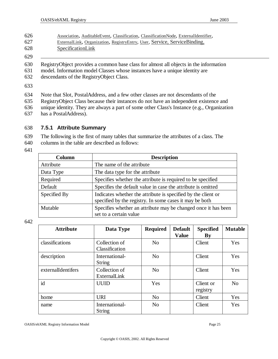| 626 |  |  | Association, AuditableEvent, Classification, ClassificationNode, ExternalIdentifier, |
|-----|--|--|--------------------------------------------------------------------------------------|
| 677 |  |  | Externall ink Organization RegistryFutry Hear Service ServiceBinding                 |

- 627 ExternalLink, Organization, RegistryEntry, User, Service, ServiceBinding,
- 628 SpecificationLink
- 630 RegistryObject provides a common base class for almost all objects in the information
- 631 model. Information model Classes whose instances have a unique identity are
- 632 descendants of the RegistryObject Class.

633

629

- 634 Note that Slot, PostalAddress, and a few other classes are not descendants of the
- 635 RegistryObject Class because their instances do not have an independent existence and 636 unique identity. They are always a part of some other Class's Instance (e.g., Organization
- 637 has a PostalAddress).

#### 638 **7.5.1 Attribute Summary**

639 The following is the first of many tables that summarize the attributes of a class. The 640 columns in the table are described as follows:

641

| <b>Column</b> | <b>Description</b>                                                                                                       |
|---------------|--------------------------------------------------------------------------------------------------------------------------|
| Attribute     | The name of the attribute                                                                                                |
| Data Type     | The data type for the attribute                                                                                          |
| Required      | Specifies whether the attribute is required to be specified                                                              |
| Default       | Specifies the default value in case the attribute is omitted                                                             |
| Specified By  | Indicates whether the attribute is specified by the client or<br>specified by the registry. In some cases it may be both |
| Mutable       | Specifies whether an attribute may be changed once it has been<br>set to a certain value                                 |

642

| <b>Attribute</b>   | Data Type                       | <b>Required</b> | <b>Default</b><br><b>Value</b> | <b>Specified</b><br><b>By</b> | <b>Mutable</b> |
|--------------------|---------------------------------|-----------------|--------------------------------|-------------------------------|----------------|
| classifications    | Collection of<br>Classification | N <sub>o</sub>  |                                | Client                        | Yes            |
| description        | International-<br><b>String</b> | N <sub>o</sub>  |                                | Client                        | Yes            |
| externalIdentifers | Collection of<br>ExternalLink   | N <sub>o</sub>  |                                | Client                        | Yes            |
| id                 | <b>UUID</b>                     | Yes             |                                | Client or<br>registry         | N <sub>o</sub> |
| home               | <b>URI</b>                      | N <sub>o</sub>  |                                | Client                        | Yes            |
| name               | International-<br><b>String</b> | N <sub>o</sub>  |                                | Client                        | Yes            |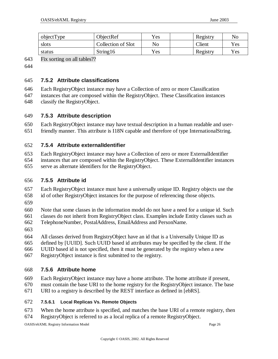| objectType | ObjectRef          | Yes | Registry | No  |
|------------|--------------------|-----|----------|-----|
| slots      | Collection of Slot | No  | Client   | Yes |
| status     | String16           | Yes | Registry | Yes |

Fix sorting on all tables??

#### **7.5.2 Attribute classifications**

- Each RegistryObject instance may have a Collection of zero or more Classification
- instances that are composed within the RegistryObject. These Classification instances classify the RegistryObject.

#### **7.5.3 Attribute description**

 Each RegistryObject instance may have textual description in a human readable and user-friendly manner. This attribute is I18N capable and therefore of type InternationalString.

#### **7.5.4 Attribute externalIdentifier**

 Each RegistryObject instance may have a Collection of zero or more ExternalIdentifier instances that are composed within the RegistryObject. These ExternalIdentifier instances serve as alternate identifiers for the RegistryObject.

#### **7.5.5 Attribute id**

Each RegistryObject instance must have a universally unique ID. Registry objects use the

id of other RegistryObject instances for the purpose of referencing those objects.

Note that some classes in the information model do not have a need for a unique id. Such

- classes do not inherit from RegistryObject class. Examples include Entity classes such as
- TelephoneNumber, PostalAddress, EmailAddress and PersonName.
- 

All classes derived from RegistryObject have an id that is a Universally Unique ID as

defined by [UUID]. Such UUID based id attributes may be specified by the client. If the

- UUID based id is not specified, then it must be generated by the registry when a new
- RegistryObject instance is first submitted to the registry.

#### **7.5.6 Attribute home**

Each RegistryObject instance may have a home attribute. The home attribute if present,

must contain the base URI to the home registry for the RegistryObject instance. The base

URI to a registry is described by the REST interface as defined in [ebRS].

#### **7.5.6.1 Local Replicas Vs. Remote Objects**

When the home attribute is specified, and matches the base URI of a remote registry, then

RegistryObject is referred to as a local replica of a remote RegistryObject.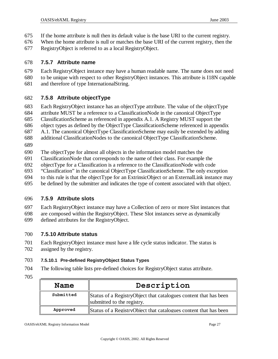- If the home attribute is null then its default value is the base URI to the current registry.
- When the home attribute is null or matches the base URI of the current registry, then the
- RegistryObject is referred to as a local RegistryObject.

#### **7.5.7 Attribute name**

- Each RegistryObject instance may have a human readable name. The name does not need to be unique with respect to other RegistryObject instances. This attribute is I18N capable
- and therefore of type InternationalString.

#### **7.5.8 Attribute objectType**

- Each RegistryObject instance has an objectType attribute. The value of the objectType
- attribute MUST be a reference to a ClassificationNode in the canonical ObjectType
- ClassificationScheme as referenced in appendix A.1. A Registry MUST support the
- object types as defined by the ObjectType ClassificationScheme referenced in appendix
- A.1. The canonical ObjectType ClassificationScheme may easily be extended by adding
- additional ClassificationNodes to the canonical ObjectType ClassificationScheme.
- 
- The objectType for almost all objects in the information model matches the
- ClassificationNode that corresponds to the name of their class. For example the
- objectType for a Classification is a reference to the ClassificationNode with code
- "Classification" in the canonical ObjectType ClassificationScheme. The only exception
- to this rule is that the objectType for an ExtrinsicObject or an ExternalLink instance may
- be defined by the submitter and indicates the type of content associated with that object.

### **7.5.9 Attribute slots**

 Each RegistryObject instance may have a Collection of zero or more Slot instances that are composed within the RegistryObject. These Slot instances serve as dynamically

- defined attributes for the RegistryObject.
- **7.5.10 Attribute status**
- Each RegistryObject instance must have a life cycle status indicator. The status is
- assigned by the registry.

#### **7.5.10.1 Pre-defined RegistryObject Status Types**

- The following table lists pre-defined choices for RegistryObject status attribute.
- 

| Name      | Description                                                                                    |  |  |  |
|-----------|------------------------------------------------------------------------------------------------|--|--|--|
| Submitted | Status of a RegistryObject that catalogues content that has been<br>submitted to the registry. |  |  |  |
| Approved  | Status of a RegistryObject that catalogues content that has been                               |  |  |  |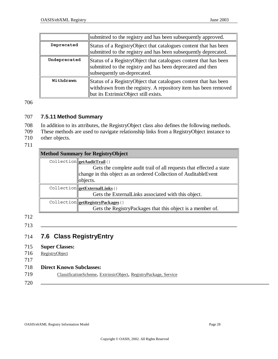|              | submitted to the registry and has been subsequently approved.                                                                                                                |
|--------------|------------------------------------------------------------------------------------------------------------------------------------------------------------------------------|
| Deprecated   | Status of a RegistryObject that catalogues content that has been<br>submitted to the registry and has been subsequently deprecated.                                          |
| Undeprecated | Status of a RegistryObject that catalogues content that has been<br>submitted to the registry and has been deprecated and then<br>subsequently un-deprecated.                |
| Withdrawn    | Status of a RegistryObject that catalogues content that has been<br>withdrawn from the registry. A repository item has been removed<br>but its ExtrinsicObject still exists. |

706

### 707 **7.5.11 Method Summary**

708 In addition to its attributes, the RegistryObject class also defines the following methods.

709 These methods are used to navigate relationship links from a RegistryObject instance to

- 710 other objects.
- 711

| <b>Method Summary for RegistryObject</b>                                                                                                                                          |
|-----------------------------------------------------------------------------------------------------------------------------------------------------------------------------------|
| Collection getAuditTrail()<br>Gets the complete audit trail of all requests that effected a state<br>change in this object as an ordered Collection of AuditableEvent<br>objects. |
| Collection getExternalLinks()<br>Gets the ExternalLinks associated with this object.                                                                                              |
| Collection getRegistryPackages()<br>Gets the RegistryPackages that this object is a member of.                                                                                    |

- 712
- 713

# 714 **7.6 Class RegistryEntry**

- 715 **Super Classes:**
- 716 RegistryObject
- 717

# 718 **Direct Known Subclasses:**

- 719 ClassificationScheme, ExtrinsicObject, RegistryPackage, Service
- 720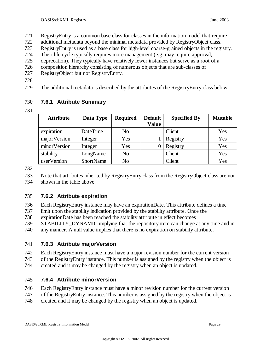- RegistryEntry is a common base class for classes in the information model that require
- additional metadata beyond the minimal metadata provided by RegistryObject class.
- RegistryEntry is used as a base class for high-level coarse-grained objects in the registry.
- Their life cycle typically requires more management (e.g. may require approval,
- deprecation). They typically have relatively fewer instances but serve as a root of a
- composition hierarchy consisting of numerous objects that are sub-classes of
- RegistryObject but not RegistryEntry.
- 
- The additional metadata is described by the attributes of the RegistryEntry class below.

### **7.6.1 Attribute Summary**

| <b>Attribute</b> | Data Type | <b>Required</b> | <b>Default</b> | <b>Specified By</b> | <b>Mutable</b> |
|------------------|-----------|-----------------|----------------|---------------------|----------------|
|                  |           |                 | <b>Value</b>   |                     |                |
| expiration       | DateTime  | N <sub>0</sub>  |                | Client              | Yes            |
| majorVersion     | Integer   | Yes             |                | Registry            | Yes            |
| minorVersion     | Integer   | Yes             |                | Registry            | Yes            |
| stability        | LongName  | No              |                | Client              | Yes            |
| userVersion      | ShortName | N <sub>0</sub>  |                | Client              | Yes            |

 Note that attributes inherited by RegistryEntry class from the RegistryObject class are not shown in the table above.

### **7.6.2 Attribute expiration**

- Each RegistryEntry instance may have an expirationDate. This attribute defines a time
- limit upon the stability indication provided by the stability attribute. Once the
- expirationDate has been reached the stability attribute in effect becomes
- STABILITY\_DYNAMIC implying that the repository item can change at any time and in
- any manner. A null value implies that there is no expiration on stability attribute.

#### **7.6.3 Attribute majorVersion**

- Each RegistryEntry instance must have a major revision number for the current version
- of the RegistryEntry instance. This number is assigned by the registry when the object is
- created and it may be changed by the registry when an object is updated.

#### **7.6.4 Attribute minorVersion**

- Each RegistryEntry instance must have a minor revision number for the current version
- of the RegistryEntry instance. This number is assigned by the registry when the object is
- created and it may be changed by the registry when an object is updated.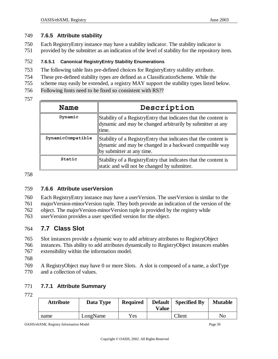#### 749 **7.6.5 Attribute stability**

- 750 Each RegistryEntry instance may have a stability indicator. The stability indicator is
- 751 provided by the submitter as an indication of the level of stability for the repository item.

#### 752 **7.6.5.1 Canonical RegistryEntry Stability Enumerations**

- 753 The following table lists pre-defined choices for RegistryEntry stability attribute.
- 754 These pre-defined stability types are defined as a ClassificationScheme. While the
- 755 scheme may easily be extended, a registry MAY support the stability types listed below.
- 756 Following fonts need to be fixed so consistent with RS??
- 757

| Name              | Description                                                                                                                                              |
|-------------------|----------------------------------------------------------------------------------------------------------------------------------------------------------|
| Dynamic           | Stability of a Registry Entry that indicates that the content is<br>dynamic and may be changed arbitrarily by submitter at any<br>time.                  |
| DynamicCompatible | Stability of a Registry Entry that indicates that the content is<br>dynamic and may be changed in a backward compatible way<br>by submitter at any time. |
| Static            | Stability of a Registry Entry that indicates that the content is<br>static and will not be changed by submitter.                                         |

758

### 759 **7.6.6 Attribute userVersion**

760 Each RegistryEntry instance may have a userVersion. The userVersion is similar to the

761 majorVersion-minorVersion tuple. They both provide an indication of the version of the

762 object. The majorVersion-minorVersion tuple is provided by the registry while

763 userVersion provides a user specified version for the object.

# 764 **7.7 Class Slot**

765 Slot instances provide a dynamic way to add arbitrary attributes to RegistryObject 766 instances. This ability to add attributes dynamically to RegistryObject instances enables 767 extensibility within the information model.

768

769 A RegistryObject may have 0 or more Slots. A slot is composed of a name, a slotType 770 and a collection of values.

### 771 **7.7.1 Attribute Summary**

772

| <b>Attribute</b> | Data Type | <b>Required</b> | Default<br>Value | <b>Specified By</b> | <b>Mutable</b> |
|------------------|-----------|-----------------|------------------|---------------------|----------------|
| name             | LongName  | Yes             |                  | Client              | No             |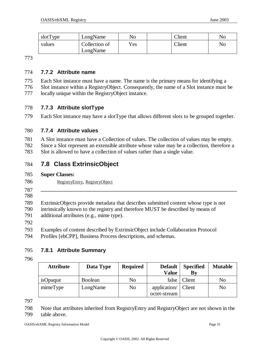| slotType | LongName      | No  | Client | No |
|----------|---------------|-----|--------|----|
| values   | Collection of | Yes | Client | No |
|          | LongName      |     |        |    |

#### **7.7.2 Attribute name**

- Each Slot instance must have a name. The name is the primary means for identifying a
- Slot instance within a RegistryObject. Consequently, the name of a Slot instance must be locally unique within the RegistryObject instance.

#### **7.7.3 Attribute slotType**

Each Slot instance may have a slotType that allows different slots to be grouped together.

#### **7.7.4 Attribute values**

- A Slot instance must have a Collection of values. The collection of values may be empty.
- Since a Slot represent an extensible attribute whose value may be a collection, therefore a
- Slot is allowed to have a collection of values rather than a single value.

# **7.8 Class ExtrinsicObject**

#### **Super Classes:**

| 786 | RegistryEntry, RegistryObject |  |
|-----|-------------------------------|--|
| 787 |                               |  |
| 788 |                               |  |

 ExtrinsicObjects provide metadata that describes submitted content whose type is not intrinsically known to the registry and therefore MUST be described by means of additional attributes (e.g., mime type).

- Examples of content described by ExtrinsicObject include Collaboration Protocol
- Profiles [ebCPP], Business Process descriptions, and schemas.

#### **7.8.1 Attribute Summary**

| <b>Attribute</b> | Data Type      | <b>Required</b> | <b>Default</b><br><b>Value</b> | <b>Specified</b><br>Bv | <b>Mutable</b> |
|------------------|----------------|-----------------|--------------------------------|------------------------|----------------|
| isOpaque         | <b>Boolean</b> | No              | false                          | Client                 | No             |
| mimeType         | LongName       | N <sub>0</sub>  | application/<br>octet-stream   | Client                 | No             |

 Note that attributes inherited from RegistryEntry and RegistryObject are not shown in the table above.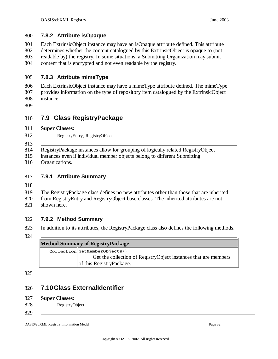#### **7.8.2 Attribute isOpaque**

- Each ExtrinsicObject instance may have an isOpaque attribute defined. This attribute
- determines whether the content catalogued by this ExtrinsicObject is opaque to (not
- readable by) the registry. In some situations, a Submitting Organization may submit
- content that is encrypted and not even readable by the registry.

#### **7.8.3 Attribute mimeType**

 Each ExtrinsicObject instance may have a mimeType attribute defined. The mimeType provides information on the type of repository item catalogued by the ExtrinsicObject instance.

# **7.9 Class RegistryPackage**

| <b>Super Classes:</b> |
|-----------------------|
|                       |

- 812 RegistryEntry, RegistryObject
- 

RegistryPackage instances allow for grouping of logically related RegistryObject

- instances even if individual member objects belong to different Submitting
- Organizations.

#### **7.9.1 Attribute Summary**

The RegistryPackage class defines no new attributes other than those that are inherited

820 from RegistryEntry and RegistryObject base classes. The inherited attributes are not

shown here.

### **7.9.2 Method Summary**

In addition to its attributes, the RegistryPackage class also defines the following methods.

#### 

| Method Summary of RegistryPackage |                                                                 |  |  |
|-----------------------------------|-----------------------------------------------------------------|--|--|
|                                   | Collection getMemberObjects()                                   |  |  |
|                                   | Get the collection of RegistryObject instances that are members |  |  |
|                                   | of this RegistryPackage.                                        |  |  |

#### 

# **7.10Class ExternalIdentifier**

- **Super Classes:**
- RegistryObject
-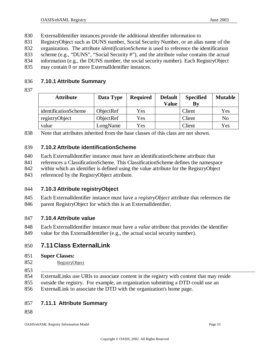- ExternalIdentifier instances provide the additional identifier information to
- RegistryObject such as DUNS number, Social Security Number, or an alias name of the
- organization. The attribute *identificationScheme* is used to reference the identification
- scheme (e.g., "DUNS", "Social Security #"), and the attribute *value* contains the actual
- information (e.g., the DUNS number, the social security number). Each RegistryObject
- may contain 0 or more ExternalIdentifier instances.

#### **7.10.1 Attribute Summary**

| <b>Attribute</b>     | Data Type | <b>Required</b> | <b>Default</b><br><b>Value</b> | <b>Specified</b><br>Bv | <b>Mutable</b> |
|----------------------|-----------|-----------------|--------------------------------|------------------------|----------------|
| identificationScheme | ObjectRef | Yes             |                                | Client                 | Yes            |
| registryObject       | ObjectRef | Yes             |                                | Client                 | No             |
| value                | LongName  | Yes             |                                | Client                 | Yes            |

Note that attributes inherited from the base classes of this class are not shown.

#### **7.10.2 Attribute identificationScheme**

- Each ExternalIdentifier instance must have an identificationScheme attribute that
- references a ClassificationScheme. This ClassificationScheme defines the namespace
- within which an identifier is defined using the value attribute for the RegistryObject
- referenced by the RegistryObject attribute.

#### **7.10.3 Attribute registryObject**

 Each ExternalIdentifier instance must have a *registryObject* attribute that references the parent RegistryObject for which this is an ExternalIdentifier.

#### **7.10.4 Attribute value**

- Each ExternalIdentifier instance must have a *value* attribute that provides the identifier
- value for this ExternalIdentifier (e.g., the actual social security number).

# **7.11Class ExternalLink**

- **Super Classes:**
- RegistryObject
- 
- ExternalLinks use URIs to associate content in the registry with content that may reside
- outside the registry. For example, an organization submitting a DTD could use an
	- ExternalLink to associate the DTD with the organization's home page.

#### **7.11.1 Attribute Summary**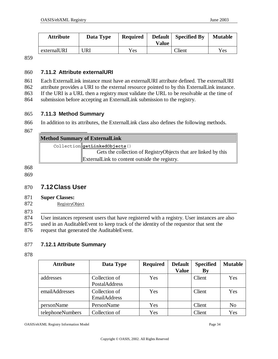| <b>Attribute</b> | Data Type | <b>Required</b> | <b>Value</b> | <b>Default</b> Specified By | <b>Mutable</b> |
|------------------|-----------|-----------------|--------------|-----------------------------|----------------|
| externalURI      | URI       | Yes             |              | Client                      | Yes            |

859

#### 860 **7.11.2 Attribute externalURI**

861 Each ExternalLink instance must have an externalURI attribute defined. The externalURI

862 attribute provides a URI to the external resource pointed to by this ExternalLink instance.

863 If the URI is a URL then a registry must validate the URL to be resolvable at the time of

864 submission before accepting an ExternalLink submission to the registry.

#### 865 **7.11.3 Method Summary**

866 In addition to its attributes, the ExternalLink class also defines the following methods.

867

| Method Summary of ExternalLink |                                                                                                 |  |  |  |
|--------------------------------|-------------------------------------------------------------------------------------------------|--|--|--|
|                                | Collection getLinkedObjects()<br>Gets the collection of RegistryObjects that are linked by this |  |  |  |
|                                | External Link to content outside the registry.                                                  |  |  |  |

868

869

### 870 **7.12Class User**

- 871 **Super Classes:**
- 872 RegistryObject

873<br>874 User instances represent users that have registered with a registry. User instances are also 875 used in an AuditableEvent to keep track of the identity of the requestor that sent the 876 request that generated the AuditableEvent.

#### 877 **7.12.1 Attribute Summary**

878

| <b>Attribute</b> | Data Type                      | <b>Required</b> | <b>Default</b><br><b>Value</b> | <b>Specified</b><br>By | <b>Mutable</b> |
|------------------|--------------------------------|-----------------|--------------------------------|------------------------|----------------|
| addresses        | Collection of<br>PostalAddress | Yes             |                                | Client                 | Yes            |
| emailAddresses   | Collection of<br>EmailAddress  | Yes             |                                | Client                 | Yes            |
| personName       | PersonName                     | Yes             |                                | Client                 | N <sub>0</sub> |
| telephoneNumbers | Collection of                  | Yes             |                                | Client                 | Yes            |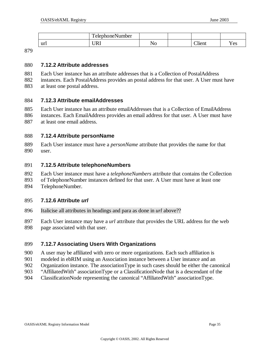|     | $\mathbf{m}$<br>ElephoneNumber |    |             |                      |
|-----|--------------------------------|----|-------------|----------------------|
| url | $-$<br>ь<br>, , , ,<br>ຼ       | N0 | ~…<br>lient | v 7<br>Y A C<br>1 CO |

#### **7.12.2 Attribute addresses**

- Each User instance has an attribute addresses that is a Collection of PostalAddress
- instances. Each PostalAddress provides an postal address for that user. A User must have at least one postal address.

#### **7.12.3 Attribute emailAddresses**

- Each User instance has an attribute emailAddresses that is a Collection of EmailAddress
- instances. Each EmailAddress provides an email address for that user. A User must have at least one email address.

#### **7.12.4 Attribute personName**

 Each User instance must have a *personName* attribute that provides the name for that user.

#### **7.12.5 Attribute telephoneNumbers**

- Each User instance must have a *telephoneNumbers* attribute that contains the Collection
- of TelephoneNumber instances defined for that user. A User must have at least one
- TelephoneNumber.

#### **7.12.6 Attribute** *url*

- Italicise all attributes in headings and para as done in *url* above??
- Each User instance may have a *url* attribute that provides the URL address for the web
- page associated with that user.

#### **7.12.7 Associating Users With Organizations**

- A user may be affiliated with zero or more organizations. Each such affiliation is
- modeled in ebRIM using an Association instance between a User instance and an
- Organization instance. The associationType in such cases should be either the canonical
- "AffiliatedWith" associationType or a ClassificationNode that is a descendant of the
- ClassificationNode representing the canonical "AffiliatedWith" associationType.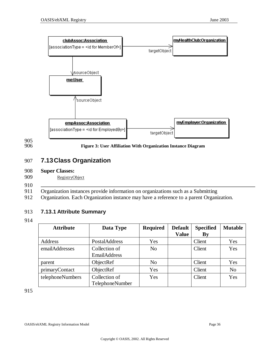



#### 906 **Figure 3: User Affiliation With Organization Instance Diagram**

# 907 **7.13Class Organization**

908 **Super Classes:**

909 RegistryObject

# 910<br>911

- Organization instances provide information on organizations such as a Submitting
- 912 Organization. Each Organization instance may have a reference to a parent Organization.

#### 913 **7.13.1 Attribute Summary**

#### 914

| <b>Attribute</b> | Data Type                        | <b>Required</b> | <b>Default</b><br><b>Value</b> | <b>Specified</b><br>By | <b>Mutable</b> |
|------------------|----------------------------------|-----------------|--------------------------------|------------------------|----------------|
| Address          | PostalAddress                    | Yes             |                                | Client                 | Yes            |
| emailAddresses   | Collection of<br>EmailAddress    | N <sub>o</sub>  |                                | Client                 | Yes            |
| parent           | ObjectRef                        | N <sub>0</sub>  |                                | Client                 | Yes            |
| primaryContact   | ObjectRef                        | Yes             |                                | Client                 | N <sub>o</sub> |
| telephoneNumbers | Collection of<br>TelephoneNumber | Yes             |                                | Client                 | Yes            |

915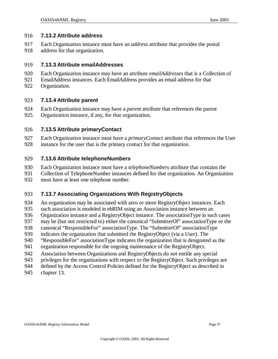#### **7.13.2 Attribute address**

- Each Organization instance must have an *address* attribute that provides the postal
- address for that organization.

#### **7.13.3 Attribute emailAddresses**

- Each Organization instance may have an attribute *emailAddresses* that is a Collection of
- EmailAddress instances. Each EmailAddress provides an email address for that
- Organization.

#### **7.13.4 Attribute parent**

- Each Organization instance may have a *parent* attribute that references the parent
- Organization instance, if any, for that organization.

#### **7.13.5 Attribute primaryContact**

- Each Organization instance must have a *primaryContact* attribute that references the User
- instance for the user that is the primary contact for that organization.

#### **7.13.6 Attribute telephoneNumbers**

- Each Organization instance must have a *telephoneNumbers* attribute that contains the
- Collection of TelephoneNumber instances defined for that organization. An Organization
- must have at least one telephone number.

#### **7.13.7 Associating Organizations With RegistryObjects**

- An organization may be associated with zero or more RegistryObject instances. Each
- such association is modeled in ebRIM using an Association instance between an
- Organization instance and a RegistryObject instance. The associationType in such cases
- 937 may be (but not restricted to) either the canonical "SubmitterOf" associationType or the
- canonical "ResponsibleFor" associationType. The "SubmitterOf" associationType
- indicates the organization that submitted the RegistryObject (via a User). The
- "ResponsibleFor" associationType indicates the organization that is designated as the
- organization responsible for the ongoing maintenance of the RegistryObject.
- Association between Organizations and RegistryObjects do not entitle any special
- privileges for the organizations with respect to the RegistryObject. Such privileges are
- defined by the Access Control Policies defined for the RegistryObject as described in
- chapter 13.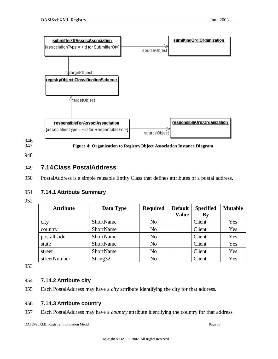

948

# 949 **7.14Class PostalAddress**

950 PostalAddress is a simple reusable Entity Class that defines attributes of a postal address.

#### 951 **7.14.1 Attribute Summary**

952

| <b>Attribute</b> | Data Type | <b>Required</b> | <b>Default</b><br><b>Value</b> | <b>Specified</b><br>By | <b>Mutable</b> |
|------------------|-----------|-----------------|--------------------------------|------------------------|----------------|
| city             | ShortName | N <sub>0</sub>  |                                | Client                 | Yes            |
| country          | ShortName | N <sub>o</sub>  |                                | Client                 | Yes            |
| postalCode       | ShortName | N <sub>o</sub>  |                                | Client                 | Yes            |
| state            | ShortName | N <sub>o</sub>  |                                | Client                 | Yes            |
| street           | ShortName | N <sub>o</sub>  |                                | Client                 | Yes            |
| streetNumber     | String32  | No              |                                | Client                 | Yes            |

953

#### 954 **7.14.2 Attribute city**

955 Each PostalAddress may have a *city* attribute identifying the city for that address.

#### 956 **7.14.3 Attribute country**

957 Each PostalAddress may have a *country* attribute identifying the country for that address.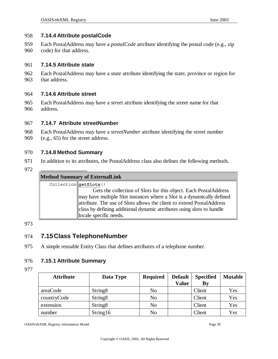#### 958 **7.14.4 Attribute postalCode**

- 959 Each PostalAddress may have a *postalCode* attribute identifying the postal code (e.g., zip
- 960 code) for that address.

#### 961 **7.14.5 Attribute state**

962 Each PostalAddress may have a *state* attribute identifying the state, province or region for 963 that address.

#### 964 **7.14.6 Attribute street**

965 Each PostalAddress may have a *street* attribute identifying the street name for that 966 address.

#### 967 **7.14.7 Attribute streetNumber**

- 968 Each PostalAddress may have a *streetNumber* attribute identifying the street number
- 969 (e.g., 65) for the street address.

#### 970 **7.14.8 Method Summary**

- 971 In addition to its attributes, the PostalAddress class also defines the following methods.
- 972

| <b>Method Summary of ExternalLink</b> |                                                                        |  |  |  |
|---------------------------------------|------------------------------------------------------------------------|--|--|--|
| Collection getSlots()                 |                                                                        |  |  |  |
|                                       | Gets the collection of Slots for this object. Each PostalAddress       |  |  |  |
|                                       | may have multiple Slot instances where a Slot is a dynamically defined |  |  |  |
|                                       | attribute. The use of Slots allows the client to extend PostalAddress  |  |  |  |
|                                       | class by defining additional dynamic attributes using slots to handle  |  |  |  |
|                                       | locale specific needs.                                                 |  |  |  |

#### 973

# 974 **7.15Class TelephoneNumber**

975 A simple reusable Entity Class that defines attributes of a telephone number.

#### 976 **7.15.1 Attribute Summary**

977

| <b>Attribute</b> | Data Type           | <b>Required</b> | <b>Default</b><br><b>Value</b> | <b>Specified</b><br>By | <b>Mutable</b> |
|------------------|---------------------|-----------------|--------------------------------|------------------------|----------------|
| areaCode         | String <sub>8</sub> | No              |                                | Client                 | Yes            |
| countryCode      | String <sub>8</sub> | No              |                                | Client                 | Yes            |
| extension        | String <sub>8</sub> | No              |                                | Client                 | Yes            |
| number           | String16            | N <sub>o</sub>  |                                | Client                 | Yes            |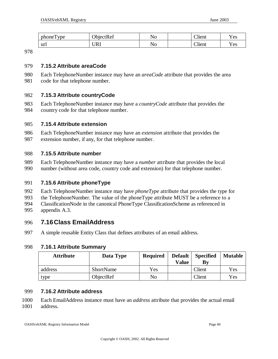| <b>vne</b><br>phone | <b>^*</b><br>r<br>)biectRef | N O<br>14 Q | $\sim$ $\cdot$<br>L'Inent | T<br>Υρς<br>1 <sub>o</sub>             |
|---------------------|-----------------------------|-------------|---------------------------|----------------------------------------|
| uri                 | <b>IRI</b><br>ີ             | NO          | $\sim$ $\cdot$<br>Client  | $\overline{\mathbf{x}}$<br>Yρς<br>1 UD |

#### **7.15.2 Attribute areaCode**

- Each TelephoneNumber instance may have an *areaCode* attribute that provides the area
- 981 code for that telephone number.

#### **7.15.3 Attribute countryCode**

 Each TelephoneNumber instance may have a *countryCode* attribute that provides the country code for that telephone number.

#### **7.15.4 Attribute extension**

- Each TelephoneNumber instance may have an *extension* attribute that provides the
- extension number, if any, for that telephone number.

#### **7.15.5 Attribute number**

- Each TelephoneNumber instance may have a *number* attribute that provides the local
- number (without area code, country code and extension) for that telephone number.

#### **7.15.6 Attribute phoneType**

- Each TelephoneNumber instance may have *phoneType* attribute that provides the type for
- the TelephoneNumber. The value of the phoneType attribute MUST be a reference to a
- ClassificationNode in the canonical PhoneType ClassificationScheme as referenced in appendix A.3.
- 

# **7.16Class EmailAddress**

A simple reusable Entity Class that defines attributes of an email address.

#### **7.16.1 Attribute Summary**

| <b>Attribute</b> | Data Type | <b>Required</b> | Default  <br><b>Value</b> | <b>Specified</b><br>Bv | <b>Mutable</b> |
|------------------|-----------|-----------------|---------------------------|------------------------|----------------|
| address          | ShortName | Yes             |                           | Client                 | Yes            |
| type             | ObjectRef | No              |                           | Client                 | Yes            |

#### **7.16.2 Attribute address**

- Each EmailAddress instance must have an *address* attribute that provides the actual email
- address.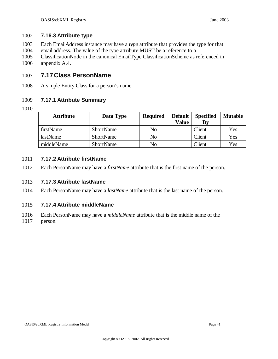#### 1002 **7.16.3 Attribute type**

- 1003 Each EmailAddress instance may have a *type* attribute that provides the type for that
- 1004 email address. The value of the type attribute MUST be a reference to a
- 1005 ClassificationNode in the canonical EmailType ClassificationScheme as referenced in
- 1006 appendix A.4.

# 1007 **7.17Class PersonName**

1008 A simple Entity Class for a person's name.

#### 1009 **7.17.1 Attribute Summary**

1010

| <b>Attribute</b> | Data Type        | <b>Required</b> | <b>Default</b><br><b>Value</b> | <b>Specified</b><br>By | <b>Mutable</b> |
|------------------|------------------|-----------------|--------------------------------|------------------------|----------------|
| firstName        | <b>ShortName</b> | No              |                                | Client                 | Yes            |
| lastName         | ShortName        | No              |                                | Client                 | Yes            |
| middleName       | <b>ShortName</b> | No              |                                | Client                 | Yes            |

#### 1011 **7.17.2 Attribute firstName**

1012 Each PersonName may have a *firstName* attribute that is the first name of the person.

#### 1013 **7.17.3 Attribute lastName**

1014 Each PersonName may have a *lastName* attribute that is the last name of the person.

#### 1015 **7.17.4 Attribute middleName**

1016 Each PersonName may have a *middleName* attribute that is the middle name of the 1017 person.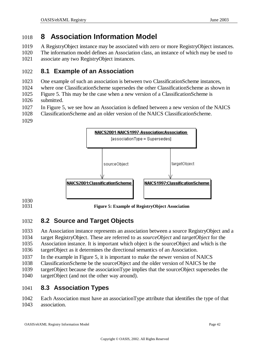# **8 Association Information Model**

- A RegistryObject instance may be associated with zero or more RegistryObject instances. The information model defines an Association class, an instance of which may be used to
- associate any two RegistryObject instances.

# **8.1 Example of an Association**

- One example of such an association is between two ClassificationScheme instances,
- where one ClassificationScheme supersedes the other ClassificationScheme as shown in
- Figure 5. This may be the case when a new version of a ClassificationScheme is submitted.
- In Figure 5, we see how an Association is defined between a new version of the NAICS
- ClassificationScheme and an older version of the NAICS ClassificationScheme.
- 



1030<br>1031

Figure 5: Example of RegistryObject Association

# **8.2 Source and Target Objects**

- An Association instance represents an association between a source RegistryObject and a
- target RegistryObject. These are referred to as *sourceObject* and *targetObject* for the
- Association instance. It is important which object is the sourceObject and which is the
- targetObject as it determines the directional semantics of an Association.
- In the example in Figure 5, it is important to make the newer version of NAICS
- ClassificationScheme be the sourceObject and the older version of NAICS be the
- targetObject because the associationType implies that the sourceObject supersedes the
- 1040 targetObject (and not the other way around).

# **8.3 Association Types**

 Each Association must have an associationType attribute that identifies the type of that association.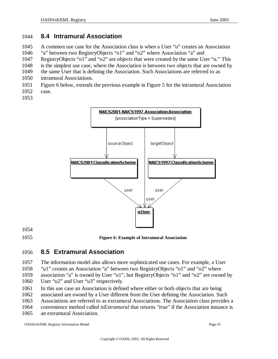# **8.4 Intramural Association**

- A common use case for the Association class is when a User "u" creates an Association
- "a" between two RegistryObjects "o1" and "o2" where Association "a" and
- RegistryObjects "o1" and "o2" are objects that were created by the same User "u." This
- is the simplest use case, where the Association is between two objects that are owned by
- the same User that is defining the Association. Such Associations are referred to as intramural Associations.
- Figure 6 below, extends the previous example in Figure 5 for the intramural Association
- case.
- 



**Figure 6: Example of Intramural Association**

# **8.5 Extramural Association**

The information model also allows more sophisticated use cases. For example, a User

"u1" creates an Association "a" between two RegistryObjects "o1" and "o2" where

 association "a" is owned by User "u1", but RegistryObjects "o1" and "o2" are owned by User "u2" and User "u3" respectively.

In this use case an Association is defined where either or both objects that are being

associated are owned by a User different from the User defining the Association. Such

Associations are referred to as extramural Associations. The Association class provides a

convenience method called *isExtramural* that returns *"true"* if the Association instance is

an extramural Association.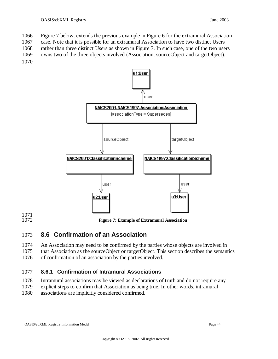- Figure 7 below, extends the previous example in Figure 6 for the extramural Association
- case. Note that it is possible for an extramural Association to have two distinct Users
- rather than three distinct Users as shown in Figure 7. In such case, one of the two users
- owns two of the three objects involved (Association, sourceObject and targetObject).



**Figure 7: Example of Extramural Association**

# **8.6 Confirmation of an Association**

- An Association may need to be confirmed by the parties whose objects are involved in
- that Association as the sourceObject or targetObject. This section describes the semantics
- of confirmation of an association by the parties involved.

# **8.6.1 Confirmation of Intramural Associations**

- Intramural associations may be viewed as declarations of truth and do not require any
- explicit steps to confirm that Association as being true. In other words, intramural
- associations are implicitly considered confirmed.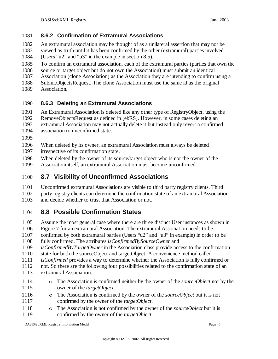#### **8.6.2 Confirmation of Extramural Associations**

An extramural association may be thought of as a unilateral assertion that may not be

- viewed as truth until it has been confirmed by the other (extramural) parties involved (Users "u2" and "u3" in the example in section 8.5).
- To confirm an extramural association, each of the extramural parties (parties that own the
- source or target object but do not own the Association) must submit an identical
- Association (clone Association) as the Association they are intending to confirm using a
- SubmitObjectsRequest. The clone Association must use the same id as the original
- Association.

#### **8.6.3 Deleting an Extramural Associations**

- An Extramural Association is deleted like any other type of RegistryObject, using the
- RemoveObjectsRequest as defined in [ebRS]. However, in some cases deleting an
- extramural Association may not actually delete it but instead only revert a confirmed
- association to unconfirmed state.
- 
- When deleted by its owner, an extramural Association must always be deleted
- irrespective of its confirmation state.
- When deleted by the owner of its source/target object who is not the owner of the
- Association itself, an extramural Association must become unconfirmed.

# **8.7 Visibility of Unconfirmed Associations**

- Unconfirmed extramural Associations are visible to third party registry clients. Third
- party registry clients can determine the confirmation state of an extramural Association
- and decide whether to trust that Association or not.

# **8.8 Possible Confirmation States**

- Assume the most general case where there are three distinct User instances as shown in
- Figure 7 for an extramural Association. The extramural Association needs to be
- confirmed by both extramural parties (Users "u2" and "u3" in example) in order to be
- fully confirmed. The attributes *isConfirmedBySourceOwner* and
- *isConfirmedByTargetOwner* in the Association class provide access to the confirmation
- state for both the sourceObject and targetObject. A convenience method called
- *isConfirmed* provides a way to determine whether the Association is fully confirmed or
- not. So there are the following four possibilities related to the confirmation state of an
- extramural Association:
- 1114 o The Association is confirmed neither by the owner of the *sourceObject* nor by the owner of the *targetObject*.
- 1116 o The Association is confirmed by the owner of the *sourceObject* but it is not confirmed by the owner of the *targetObject*.
- 1118 o The Association is not confirmed by the owner of the *sourceObject* but it is confirmed by the owner of the *targetObject*.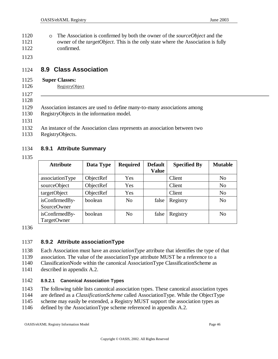- 1120 o The Association is confirmed by both the owner of the *sourceObject* and the owner of the *targetObject*. This is the only state where the Association is fully confirmed.
- 

# **8.9 Class Association**

#### **Super Classes:**

RegistryObject

- 
- Association instances are used to define many-to-many associations among
- RegistryObjects in the information model.
- 
- An instance of the Association class represents an association between two
- RegistryObjects.

#### **8.9.1 Attribute Summary**

| <b>Attribute</b>              | Data Type | <b>Required</b> | <b>Default</b><br><b>Value</b> | <b>Specified By</b> | <b>Mutable</b> |
|-------------------------------|-----------|-----------------|--------------------------------|---------------------|----------------|
| associationType               | ObjectRef | Yes             |                                | Client              | No             |
| sourceObject                  | ObjectRef | Yes             |                                | Client              | N <sub>o</sub> |
| targetObject                  | ObjectRef | Yes             |                                | Client              | N <sub>o</sub> |
| isConfirmedBy-<br>SourceOwner | boolean   | No              | false                          | Registry            | N <sub>o</sub> |
| isConfirmedBy-<br>TargetOwner | boolean   | No              | false                          | Registry            | No             |

#### **8.9.2 Attribute associationType**

Each Association must have an *associationType* attribute that identifies the type of that

association. The value of the associationType attribute MUST be a reference to a

ClassificationNode within the canonical AssociationType ClassificationScheme as

described in appendix A.2.

# **8.9.2.1 Canonical Association Types**

The following table lists canonical association types. These canonical association types

- are defined as a *ClassificationScheme* called AssociationType. While the ObjectType
- scheme may easily be extended, a Registry MUST support the association types as

defined by the AssociationType scheme referenced in appendix A.2.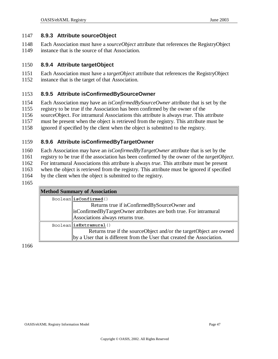#### **8.9.3 Attribute sourceObject**

- Each Association must have a *sourceObject* attribute that references the RegistryObject
- instance that is the source of that Association.

#### **8.9.4 Attribute targetObject**

- Each Association must have a *targetObject* attribute that references the RegistryObject
- instance that is the target of that Association.

#### **8.9.5 Attribute isConfirmedBySourceOwner**

- Each Association may have an *isConfirmedBySourceOwner* attribute that is set by the
- registry to be true if the Association has been confirmed by the owner of the
- sourceObject. For intramural Associations this attribute is always *true*. This attribute
- must be present when the object is retrieved from the registry. This attribute must be
- ignored if specified by the client when the object is submitted to the registry.

#### **8.9.6 Attribute isConfirmedByTargetOwner**

- Each Association may have an *isConfirmedByTargetOwner* attribute that is set by the
- registry to be true if the association has been confirmed by the owner of the *targetObject*.
- For intramural Associations this attribute is always *true*. This attribute must be present
- when the object is retrieved from the registry. This attribute must be ignored if specified
- by the client when the object is submitted to the registry.
- 

| Method Summary of Association |                                                                         |  |  |
|-------------------------------|-------------------------------------------------------------------------|--|--|
|                               | Boolean   isConfirmed()                                                 |  |  |
|                               | Returns true if is Confirmed By Source Owner and                        |  |  |
|                               | lisConfirmedByTargetOwner attributes are both true. For intramural      |  |  |
|                               | Associations always returns true.                                       |  |  |
|                               | Boolean isExtramural()                                                  |  |  |
|                               | Returns true if the sourceObject and/or the targetObject are owned      |  |  |
|                               | by a User that is different from the User that created the Association. |  |  |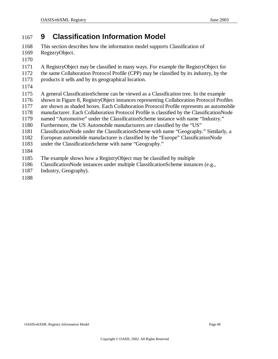# **9 Classification Information Model**

 This section describes how the information model supports Classification of RegistryObject.

# A RegistryObject may be classified in many ways. For example the RegistryObject for

#### the same Collaboration Protocol Profile (CPP) may be classified by its industry, by the products it sells and by its geographical location.

- 
- A general ClassificationScheme can be viewed as a Classification tree. In the example
- shown in Figure 8, RegistryObject instances representing Collaboration Protocol Profiles
- are shown as shaded boxes. Each Collaboration Protocol Profile represents an automobile
- manufacturer. Each Collaboration Protocol Profile is classified by the ClassificationNode
- named "Automotive" under the ClassificationScheme instance with name "Industry."
- Furthermore, the US Automobile manufacturers are classified by the "US"
- ClassificationNode under the ClassificationScheme with name "Geography." Similarly, a
- European automobile manufacturer is classified by the "Europe" ClassificationNode
- under the ClassificationScheme with name "Geography."
- 
- The example shows how a RegistryObject may be classified by multiple
- ClassificationNode instances under multiple ClassificationScheme instances (e.g.,
- Industry, Geography).
-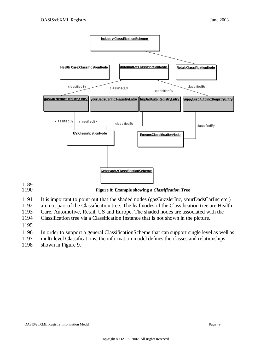

1189<br>1190

**Figure 8: Example showing a** *Classification* **Tree**

It is important to point out that the shaded nodes (gasGuzzlerInc, yourDadsCarInc etc.)

are not part of the Classification tree. The leaf nodes of the Classification tree are Health

Care, Automotive, Retail, US and Europe. The shaded nodes are associated with the

Classification tree via a Classification Instance that is not shown in the picture.

In order to support a general ClassificationScheme that can support single level as well as

multi-level Classifications, the information model defines the classes and relationships

shown in Figure 9.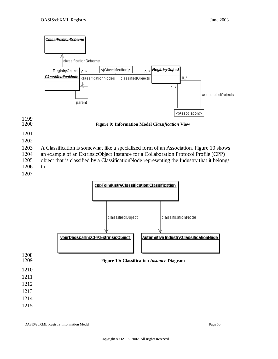

1199<br>1200

#### **Figure 9: Information Model** *Classification* **View**

- 
- 

A Classification is somewhat like a specialized form of an Association. Figure 10 shows

an example of an ExtrinsicObject Instance for a Collaboration Protocol Profile (CPP)

object that is classified by a ClassificationNode representing the Industry that it belongs

- to.
- 



 

1208<br>1209

- 
- 
- 
- 
-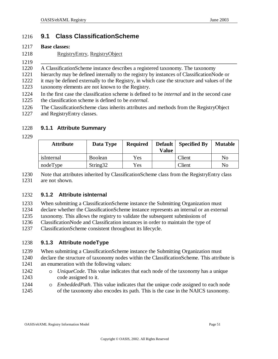# **9.1 Class ClassificationScheme**

#### **Base classes:**

#### 

RegistryEntry, RegistryObject

A ClassificationScheme instance describes a registered taxonomy. The taxonomy

hierarchy may be defined internally to the registry by instances of ClassificationNode or

 it may be defined externally to the Registry, in which case the structure and values of the taxonomy elements are not known to the Registry.

- In the first case the classification scheme is defined to be *internal* and in the second case the classification scheme is defined to be *external*.
- The ClassificationScheme class inherits attributes and methods from the RegistryObject and RegistryEntry classes.
- 

# **9.1.1 Attribute Summary**

#### 

| <b>Attribute</b> | Data Type      | <b>Required</b> | Default<br><b>Value</b> | <b>Specified By</b> | <b>Mutable</b> |
|------------------|----------------|-----------------|-------------------------|---------------------|----------------|
| isInternal       | <b>Boolean</b> | Yes             |                         | Client              | No             |
| nodeType         | String32       | Yes             |                         | Client              | No             |

 Note that attributes inherited by ClassificationScheme class from the RegistryEntry class are not shown.

#### **9.1.2 Attribute isInternal**

When submitting a ClassificationScheme instance the Submitting Organization must

declare whether the ClassificationScheme instance represents an internal or an external

taxonomy. This allows the registry to validate the subsequent submissions of

ClassificationNode and Classification instances in order to maintain the type of

ClassificationScheme consistent throughout its lifecycle.

# **9.1.3 Attribute nodeType**

- When submitting a ClassificationScheme instance the Submitting Organization must declare the structure of taxonomy nodes within the ClassificationScheme. This attribute is an enumeration with the following values:
- o *UniqueCode*. This value indicates that each node of the taxonomy has a unique code assigned to it.
- o *EmbeddedPath*. This value indicates that the unique code assigned to each node of the taxonomy also encodes its path. This is the case in the NAICS taxonomy.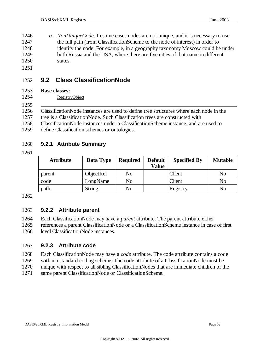- 1246 o *NonUniqueCode*. In some cases nodes are not unique, and it is necessary to use the full path (from ClassificationScheme to the node of interest) in order to identify the node. For example, in a geography taxonomy Moscow could be under both Russia and the USA, where there are five cities of that name in different states.
- 

# **9.2 Class ClassificationNode**

#### **Base classes:**

RegistryObject

 ClassificationNode instances are used to define tree structures where each node in the tree is a ClassificationNode. Such Classification trees are constructed with

- ClassificationNode instances under a ClassificationScheme instance, and are used to
- define Classification schemes or ontologies.

#### **9.2.1 Attribute Summary**

| <b>Attribute</b> | Data Type | <b>Required</b> | <b>Default</b><br><b>Value</b> | <b>Specified By</b> | <b>Mutable</b> |
|------------------|-----------|-----------------|--------------------------------|---------------------|----------------|
| parent           | ObjectRef | No              |                                | Client              | No             |
| code             | LongName  | No              |                                | Client              | No             |
| path             | String    | No              |                                | Registry            | No             |

#### **9.2.2 Attribute parent**

 Each ClassificationNode may have a *parent* attribute. The parent attribute either references a parent ClassificationNode or a ClassificationScheme instance in case of first level ClassificationNode instances.

#### **9.2.3 Attribute code**

- Each ClassificationNode may have a *code* attribute. The code attribute contains a code
- within a standard coding scheme. The code attribute of a ClassificationNode must be
- unique with respect to all sibling ClassificationNodes that are immediate children of the
- same parent ClassificationNode or ClassificationScheme.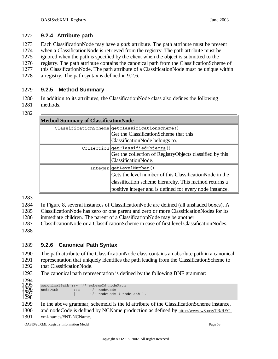#### **9.2.4 Attribute path**

Each ClassificationNode may have a *path* attribute. The path attribute must be present

when a ClassificationNode is retrieved from the registry. The path attribute must be

ignored when the path is specified by the client when the object is submitted to the

registry. The path attribute contains the canonical path from the ClassificationScheme of

- this ClassificationNode. The path attribute of a ClassificationNode must be unique within
- a registry. The path syntax is defined in 9.2.6.

#### **9.2.5 Method Summary**

 In addition to its attributes, the ClassificationNode class also defines the following methods.

| <b>Method Summary of ClassificationNode</b> |                                                          |  |  |
|---------------------------------------------|----------------------------------------------------------|--|--|
|                                             | ClassificationScheme  getClassificationScheme()          |  |  |
|                                             | Get the ClassificationScheme that this                   |  |  |
|                                             | ClassificationNode belongs to.                           |  |  |
|                                             | Collection getClassifiedObjects ()                       |  |  |
|                                             | Get the collection of RegistryObjects classified by this |  |  |
|                                             | ClassificationNode.                                      |  |  |
|                                             | Integer getLevelNumber ()                                |  |  |
|                                             | Gets the level number of this ClassificationNode in the  |  |  |
|                                             | classification scheme hierarchy. This method returns a   |  |  |
|                                             | positive integer and is defined for every node instance. |  |  |

In Figure 8, several instances of ClassificationNode are defined (all unshaded boxes). A

ClassificationNode has zero or one parent and zero or more ClassificationNodes for its

immediate children. The parent of a ClassificationNode may be another

- ClassificationNode or a ClassificationScheme in case of first level ClassificationNodes.
- 

# **9.2.6 Canonical Path Syntax**

The path attribute of the ClassificationNode class contains an absolute path in a canonical

 representation that uniquely identifies the path leading from the ClassificationScheme to that ClassificationNode.

The canonical path representation is defined by the following BNF grammar:

```
1294<br>1295<br>1296
           canonicalPath ::= '/ schemeId nodePath<br>nodePath ::= '/ nodeCode
1296 nodePath ::= '/' nodeCode
                                       1/' nodeCode ( nodePath )?
1298
```
In the above grammar, schemeId is the id attribute of the ClassificationScheme instance,

and nodeCode is defined by NCName production as defined by http://www.w3.org/TR/REC-

xml-names/#NT-NCName.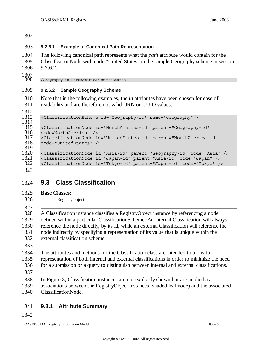#### 

**9.2.6.1 Example of Canonical Path Representation**

 The following canonical path represents what the *path* attribute would contain for the ClassificationNode with code "United States" in the sample Geography scheme in section 9.2.6.2.

1307<br>1308

/Geography-id/NorthAmerica/UnitedStates

#### **9.2.6.2 Sample Geography Scheme**

 Note that in the following examples, the *id* attributes have been chosen for ease of readability and are therefore not valid URN or UUID values.

 $\frac{1312}{1313}$ 

```
1313 <ClassificationScheme id='Geography-id' name="Geography"/>
1314<br>1315
1315 <ClassificationNode id="NorthAmerica-id" parent="Geography-id"
1316 code=NorthAmerica" />
1317 <ClassificationNode id="UnitedStates-id" parent="NorthAmerica-id"
       code="UnitedStates" />
1319<br>1320
1320 <ClassificationNode id="Asia-id" parent="Geography-id" code="Asia" />
1321 <ClassificationNode id="Japan-id" parent="Asia-id" code="Japan" />
       1322 <ClassificationNode id="Tokyo-id" parent="Japan-id" code="Tokyo" />
1323
```
- **9.3 Class Classification**
- **Base Classes:**
- RegistryObject
- A Classification instance classifies a RegistryObject instance by referencing a node defined within a particular ClassificationScheme. An internal Classification will always reference the node directly, by its id, while an external Classification will reference the node indirectly by specifying a representation of its value that is unique within the external classification scheme.
- 

 The attributes and methods for the Classification class are intended to allow for representation of both internal and external classifications in order to minimize the need 1336 for a submission or a query to distinguish between internal and external classifications.

- 
- In Figure 8, Classification instances are not explicitly shown but are implied as
- associations between the RegistryObject instances (shaded leaf node) and the associated ClassificationNode.
- **9.3.1 Attribute Summary**
-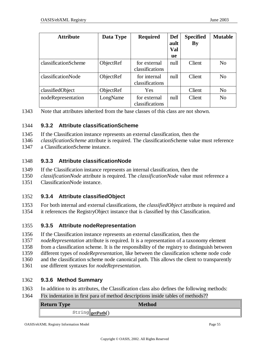| <b>Attribute</b>     | Data Type | <b>Required</b>                 | <b>Def</b><br>ault<br><b>Val</b><br><b>ue</b> | <b>Specified</b><br>By | <b>Mutable</b> |
|----------------------|-----------|---------------------------------|-----------------------------------------------|------------------------|----------------|
| classificationScheme | ObjectRef | for external<br>classifications | null                                          | Client                 | N <sub>0</sub> |
| classificationNode   | ObjectRef | for internal<br>classifications | null                                          | Client                 | N <sub>0</sub> |
| classifiedObject     | ObjectRef | Yes                             |                                               | Client                 | N <sub>0</sub> |
| nodeRepresentation   | LongName  | for external<br>classifications | null                                          | <b>Client</b>          | N <sub>0</sub> |

1343 Note that attributes inherited from the base classes of this class are not shown.

#### 1344 **9.3.2 Attribute classificationScheme**

- 1345 If the Classification instance represents an external classification, then the
- 1346 *classificationScheme* attribute is required. The classificationScheme value must reference
- 1347 a ClassificationScheme instance.

#### 1348 **9.3.3 Attribute classificationNode**

- 1349 If the Classification instance represents an internal classification, then the
- 1350 *classificationNode* attribute is required. The *classificationNode* value must reference a 1351 ClassificationNode instance.
- 

#### 1352 **9.3.4 Attribute classifiedObject**

- 1353 For both internal and external classifications, the *classifiedObject* attribute is required and
- 1354 it references the RegistryObject instance that is classified by this Classification.

#### 1355 **9.3.5 Attribute nodeRepresentation**

- 1356 If the Classification instance represents an external classification, then the
- 1357 *nodeRepresentation* attribute is required. It is a representation of a taxonomy element
- 1358 from a classification scheme. It is the responsibility of the registry to distinguish between
- 1359 different types of *nodeRepresentation*, like between the classification scheme node code
- 1360 and the classification scheme node canonical path. This allows the client to transparently
- 1361 use different syntaxes for *nodeRepresentation*.

#### 1362 **9.3.6 Method Summary**

- 1363 In addition to its attributes, the Classification class also defines the following methods:
- 1364 Fix indentation in first para of method descriptions inside tables of methods??

| Return Type                          | <b>Method</b> |
|--------------------------------------|---------------|
| $String\ $ or<br><b>¤g∥getPath</b> ( |               |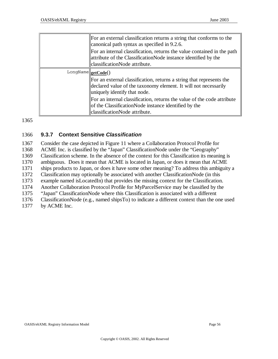|                                           | For an external classification returns a string that conforms to the<br>canonical path syntax as specified in 9.2.6.                                                    |
|-------------------------------------------|-------------------------------------------------------------------------------------------------------------------------------------------------------------------------|
|                                           | For an internal classification, returns the value contained in the path<br>attribute of the ClassificationNode instance identified by the                               |
|                                           | classificationNode attribute.                                                                                                                                           |
| $\text{LongName} \  \text{getCode}(x) \ $ |                                                                                                                                                                         |
|                                           | For an external classification, returns a string that represents the<br>declared value of the taxonomy element. It will not necessarily<br>uniquely identify that node. |
|                                           | For an internal classification, returns the value of the code attribute<br>of the Classification Node instance identified by the<br>classificationNode attribute.       |

1365

#### 1366 **9.3.7 Context Sensitive** *Classification*

 Consider the case depicted in Figure 11 where a Collaboration Protocol Profile for ACME Inc. is classified by the "Japan" ClassificationNode under the "Geography" Classification scheme. In the absence of the context for this Classification its meaning is ambiguous. Does it mean that ACME is located in Japan, or does it mean that ACME ships products to Japan, or does it have some other meaning? To address this ambiguity a Classification may optionally be associated with another ClassificationNode (in this example named isLocatedIn) that provides the missing context for the Classification. Another Collaboration Protocol Profile for MyParcelService may be classified by the "Japan" ClassificationNode where this Classification is associated with a different ClassificationNode (e.g., named shipsTo) to indicate a different context than the one used by ACME Inc.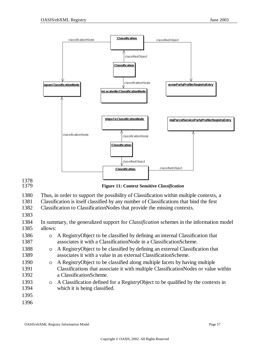

1378<br>1379

**Figure 11: Context Sensitive Classification** 

Thus, in order to support the possibility of Classification within multiple contexts, a

Classification is itself classified by any number of Classifications that bind the first

Classification to ClassificationNodes that provide the missing contexts.

 In summary, the generalized support for *Classification* schemes in the information model allows:

- o A RegistryObject to be classified by defining an internal Classification that associates it with a ClassificationNode in a ClassificationScheme.
- o A RegistryObject to be classified by defining an external Classification that associates it with a value in an external ClassificationScheme.
- o A RegistryObject to be classified along multiple facets by having multiple Classifications that associate it with multiple ClassificationNodes or value within a ClassificationScheme.
- o A Classification defined for a RegistryObject to be qualified by the contexts in 1394 which it is being classified.
-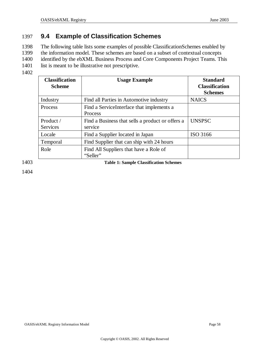# 1397 **9.4 Example of Classification Schemes**

1398 The following table lists some examples of possible ClassificationSchemes enabled by 1399 the information model. These schemes are based on a subset of contextual concepts

1400 identified by the ebXML Business Process and Core Components Project Teams. This

1401 list is meant to be illustrative not prescriptive.

1402

| <b>Classification</b> | <b>Usage Example</b>                             | <b>Standard</b>       |
|-----------------------|--------------------------------------------------|-----------------------|
| <b>Scheme</b>         |                                                  | <b>Classification</b> |
|                       |                                                  | <b>Schemes</b>        |
| Industry              | Find all Parties in Automotive industry          | <b>NAICS</b>          |
| <b>Process</b>        | Find a ServiceInterface that implements a        |                       |
|                       | Process                                          |                       |
| Product /             | Find a Business that sells a product or offers a | <b>UNSPSC</b>         |
| <b>Services</b>       | service                                          |                       |
| Locale                | Find a Supplier located in Japan                 | ISO 3166              |
| Temporal              | Find Supplier that can ship with 24 hours        |                       |
| Role                  | Find All Suppliers that have a Role of           |                       |
|                       | "Seller"                                         |                       |

1403 **Table 1: Sample Classification Schemes**

1404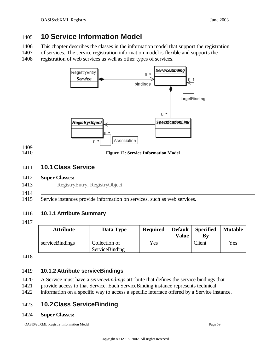# 1405 **10 Service Information Model**

1406 This chapter describes the classes in the information model that support the registration

- 1407 of services. The service registration information model is flexible and supports the
- 1408 registration of web services as well as other types of services.



1409<br>1410

**Figure 12: Service Information Model** 

# 1411 **10.1Class Service**

- 1412 **Super Classes:**
- 1413 RegistryEntry, RegistryObject
- 1414
- 1415 Service instances provide information on services, such as web services.

# 1416 **10.1.1 Attribute Summary**

1417

| <b>Attribute</b> | Data Type                              | <b>Required</b> | <b>Default</b><br><b>Value</b> | <b>Specified</b><br>Bv | <b>Mutable</b> |
|------------------|----------------------------------------|-----------------|--------------------------------|------------------------|----------------|
| serviceBindings  | Collection of<br><b>ServiceBinding</b> | Yes             |                                | Client                 | Yes            |

1418

# 1419 **10.1.2 Attribute serviceBindings**

- 1420 A Service must have a *serviceBindings* attribute that defines the service bindings that
- 1421 provide access to that Service. Each ServiceBinding instance represents technical
- 1422 information on a specific way to access a specific interface offered by a Service instance.

# 1423 **10.2Class ServiceBinding**

#### 1424 **Super Classes:**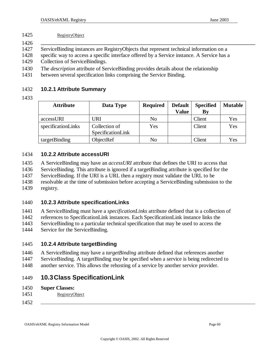#### RegistryObject

- ServiceBinding instances are RegistryObjects that represent technical information on a
- specific way to access a specific interface offered by a Service instance. A Service has a Collection of ServiceBindings.
- 
- The *description* attribute of ServiceBinding provides details about the relationship
- between several specification links comprising the Service Binding.

### **10.2.1 Attribute Summary**

| <b>Attribute</b>   | Data Type                          | <b>Required</b> | <b>Default</b><br><b>Value</b> | <b>Specified</b><br>By | <b>Mutable</b> |
|--------------------|------------------------------------|-----------------|--------------------------------|------------------------|----------------|
| accessURI          | URI                                | No              |                                | Client                 | Yes            |
| specificationLinks | Collection of<br>SpecificationLink | Yes             |                                | Client                 | Yes            |
| targetBinding      | ObjectRef                          | No              |                                | Client                 | Yes            |

# **10.2.2 Attribute accessURI**

 A ServiceBinding may have an *accessURI* attribute that defines the URI to access that ServiceBinding. This attribute is ignored if a targetBinding attribute is specified for the ServiceBinding. If the URI is a URL then a registry must validate the URL to be resolvable at the time of submission before accepting a ServiceBinding submission to the registry.

# **10.2.3 Attribute specificationLinks**

 A ServiceBinding must have a *specificationLinks* attribute defined that is a collection of references to SpecificationLink instances. Each SpecificationLink instance links the ServiceBinding to a particular technical specification that may be used to access the

Service for the ServiceBinding.

# **10.2.4 Attribute targetBinding**

A ServiceBinding may have a *targetBinding* attribute defined that references another

ServiceBinding. A targetBinding may be specified when a service is being redirected to

another service. This allows the rehosting of a service by another service provider.

# **10.3Class SpecificationLink**

- **Super Classes:**
- 1451 RegistryObject
-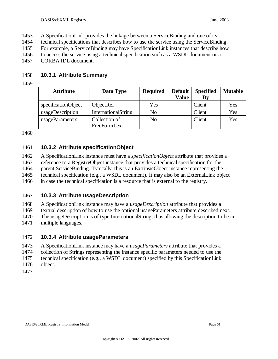- A SpecificationLink provides the linkage between a ServiceBinding and one of its
- technical specifications that describes how to use the service using the ServiceBinding.
- For example, a ServiceBinding may have SpecificationLink instances that describe how
- to access the service using a technical specification such as a WSDL document or a
- CORBA IDL document.

### **10.3.1 Attribute Summary**

| <b>Attribute</b>    | Data Type                     | <b>Required</b> | <b>Default</b><br><b>Value</b> | <b>Specified</b><br>By | <b>Mutable</b> |
|---------------------|-------------------------------|-----------------|--------------------------------|------------------------|----------------|
| specificationObject | ObjectRef                     | Yes             |                                | Client                 | Yes            |
| usageDescription    | InternationalString           | No              |                                | Client                 | Yes            |
| usageParameters     | Collection of<br>FreeFormText | No              |                                | Client                 | Yes            |

#### **10.3.2 Attribute specificationObject**

 A SpecificationLink instance must have a *specificationObject* attribute that provides a reference to a RegistryObject instance that provides a technical specification for the parent ServiceBinding. Typically, this is an ExtrinsicObject instance representing the technical specification (e.g., a WSDL document). It may also be an ExternalLink object in case the technical specification is a resource that is external to the registry.

#### **10.3.3 Attribute usageDescription**

- A SpecificationLink instance may have a *usageDescription* attribute that provides a
- textual description of how to use the optional usageParameters attribute described next.
- The usageDescription is of type InternationalString, thus allowing the description to be in multiple languages.

# **10.3.4 Attribute usageParameters**

- A SpecificationLink instance may have a *usageParameters* attribute that provides a
- collection of Strings representing the instance specific parameters needed to use the
- technical specification (e.g., a WSDL document) specified by this SpecificationLink
- object.
-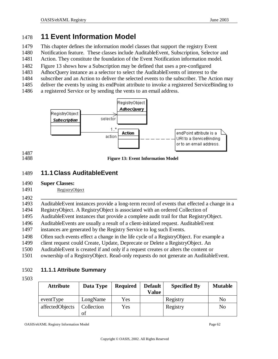# **11 Event Information Model**

- This chapter defines the information model classes that support the registry Event
- Notification feature. These classes include AuditableEvent, Subscription, Selector and
- Action. They constitute the foundation of the Event Notification information model.
- Figure 13 shows how a Subscription may be defined that uses a pre-configured
- AdhocQuery instance as a selector to select the AuditableEvents of interest to the
- subscriber and an Action to deliver the selected events to the subscriber. The Action may
- deliver the events by using its endPoint attribute to invoke a registered ServiceBinding to
- a registered Service or by sending the vents to an email address.



1487<br>1488

**Figure 13: Event Information Model** 

# **11.1Class AuditableEvent**

#### **Super Classes:**

RegistryObject

1492<br>1493 AuditableEvent instances provide a long-term record of events that effected a change in a

- RegistryObject. A RegistryObject is associated with an ordered Collection of
- AuditableEvent instances that provide a complete audit trail for that RegistryObject.
- AuditableEvents are usually a result of a client-initiated request. AuditableEvent
- instances are generated by the Registry Service to log such Events.
- Often such events effect a change in the life cycle of a RegistryObject. For example a
- client request could Create, Update, Deprecate or Delete a RegistryObject. An
- AuditableEvent is created if and only if a request creates or alters the content or
- ownership of a RegistryObject. Read-only requests do not generate an AuditableEvent.

# **11.1.1 Attribute Summary**

| <b>Attribute</b> | Data Type        | <b>Required</b> | <b>Default</b><br><b>Value</b> | <b>Specified By</b> | <b>Mutable</b> |
|------------------|------------------|-----------------|--------------------------------|---------------------|----------------|
| eventType        | LongName         | Yes             |                                | Registry            | No             |
| affectedObjects  | Collection<br>οf | Yes             |                                | Registry            | No             |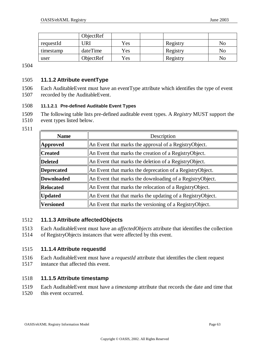|           | ObjectRef |     |          |    |
|-----------|-----------|-----|----------|----|
| requestId | JRI       | Yes | Registry | No |
| timestamp | dateTime  | Yes | Registry | Nο |
| user      | ObjectRef | Yes | Registry | No |

1504

#### 1505 **11.1.2 Attribute eventType**

1506 Each AuditableEvent must have an eventType attribute which identifies the type of event 1507 recorded by the AuditableEvent.

#### 1508 **11.1.2.1 Pre-defined Auditable Event Types**

- 1509 The following table lists pre-defined auditable event types. A *Registry* MUST support the
- 1510 event types listed below.
- 1511

| <b>Name</b>       | Description                                                |
|-------------------|------------------------------------------------------------|
| <b>Approved</b>   | An Event that marks the approval of a RegistryObject.      |
| <b>Created</b>    | An Event that marks the creation of a RegistryObject.      |
| Deleted           | An Event that marks the deletion of a RegistryObject.      |
| <b>Deprecated</b> | An Event that marks the deprecation of a RegistryObject.   |
| Downloaded        | An Event that marks the downloading of a RegistryObject.   |
| Relocated         | An Event that marks the relocation of a RegistryObject.    |
| <b>Updated</b>    | An Event that that marks the updating of a RegistryObject. |
| <b>Versioned</b>  | An Event that marks the versioning of a RegistryObject.    |

#### 1512 **11.1.3 Attribute affectedObjects**

- 1513 Each AuditableEvent must have an *affectedObjects* attribute that identifies the collection
- 1514 of RegistryObjects instances that were affected by this event.

#### 1515 **11.1.4 Attribute requestId**

- 1516 Each AuditableEvent must have a *requestId* attribute that identifies the client request
- 1517 instance that affected this event.

#### 1518 **11.1.5 Attribute timestamp**

- 1519 Each AuditableEvent must have a *timestamp* attribute that records the date and time that
- 1520 this event occurred.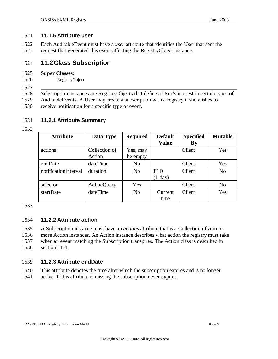#### 1521 **11.1.6 Attribute user**

1522 Each AuditableEvent must have a *user* attribute that identifies the User that sent the 1523 request that generated this event affecting the RegistryObject instance.

# 1524 **11.2Class Subscription**

#### 1525 **Super Classes:**

- 1526 RegistryObject
- 1527

1528 Subscription instances are RegistryObjects that define a User's interest in certain types of 1529 AuditableEvents. A User may create a subscription with a registry if she wishes to 1530 receive notification for a specific type of event.

#### 1531 **11.2.1 Attribute Summary**

1532

| <b>Attribute</b>     | Data Type               | <b>Required</b>      | <b>Default</b><br><b>Value</b>  | <b>Specified</b><br><b>By</b> | <b>Mutable</b> |
|----------------------|-------------------------|----------------------|---------------------------------|-------------------------------|----------------|
| actions              | Collection of<br>Action | Yes, may<br>be empty |                                 | Client                        | Yes            |
| endDate              | dateTime                | N <sub>o</sub>       |                                 | Client                        | Yes            |
| notificationInterval | duration                | N <sub>o</sub>       | P <sub>1</sub> D<br>day)<br>(1) | Client                        | N <sub>o</sub> |
| selector             | AdhocQuery              | Yes                  |                                 | Client                        | N <sub>0</sub> |
| startDate            | dateTime                | N <sub>o</sub>       | Current<br>time                 | Client                        | Yes            |

1533

#### 1534 **11.2.2 Attribute action**

| 1535 | A Subscription instance must have an <i>actions</i> attribute that is a Collection of zero or |
|------|-----------------------------------------------------------------------------------------------|
| 1536 | more Action instances. An Action instance describes what action the registry must take        |
| 1537 | when an event matching the Subscription transpires. The Action class is described in          |
| 1538 | section 11.4.                                                                                 |

#### 1539 **11.2.3 Attribute endDate**

1540 This attribute denotes the time after which the subscription expires and is no longer

1541 active. If this attribute is missing the subscription never expires.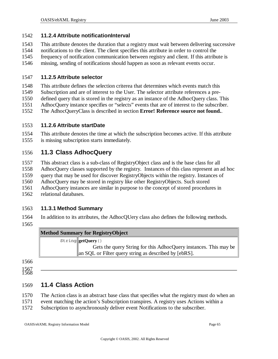#### **11.2.4 Attribute notificationInterval**

- This attribute denotes the duration that a registry must wait between delivering successive
- notifications to the client. The client specifies this attribute in order to control the
- frequency of notification communication between registry and client. If this attribute is
- missing, sending of notifications should happen as soon as relevant events occur.

### **11.2.5 Attribute selector**

- This attribute defines the selection criterea that determines which events match this
- Subscription and are of interest to the User. The selector attribute references a pre-
- defined query that is stored in the registry as an instance of the AdhocQuery class. This
- AdhocQuery instance specifies or "selects" events that are of interest to the subscriber.
- The AdhocQueryClass is described in section **Error! Reference source not found.**.

# **11.2.6 Attribute startDate**

 This attribute denotes the time at which the subscription becomes active. If this attribute is missing subscription starts immediately.

# **11.3 Class AdhocQuery**

- This abstract class is a sub-class of RegistryObject class and is the base class for all
- AdhocQuery classes supported by the registry. Instances of this class represent an ad hoc
- query that may be used for discover RegistryObjects within the registry. Instances of
- AdhocQuery may be stored in registry like other RegistryObjects. Such stored
- AdhocQuery instances are similar in purpose to the concept of stored procedures in
- relational databases.

# **11.3.1 Method Summary**

- In addition to its attributes, the AdhocQUery class also defines the following methods.
- 

# **Method Summary for RegistryObject**

| String  getQuery()                                               |
|------------------------------------------------------------------|
| Gets the query String for this AdhocQuery instances. This may be |
| $\ $ an SQL or Filter query string as described by [ebRS].       |

 

# **11.4 Class Action**

 The Action class is an abstract base class that specifies what the registry must do when an event matching the action's Subscription transpires. A registry uses Actions within a Subscription to asynchronously deliver event Notifications to the subscriber.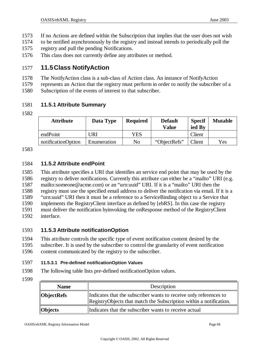- If no Actions are defined within the Subscription that implies that the user does not wish
- to be notified asynchronously by the registry and instead intends to periodically poll the registry and pull the pending Notifications.
- This class does not currently define any attributes or method.

# **11.5Class NotifyAction**

- The NotifyAction class is a sub-class of Action class. An instance of NotifyAction
- represents an Action that the registry must perform in order to notify the subscriber of a Subscription of the events of interest to that subscriber.
- 

#### **11.5.1 Attribute Summary**

| <b>Attribute</b>   | Data Type   | <b>Required</b> | <b>Default</b><br><b>Value</b> | <b>Specif</b><br>ied By | <b>Mutable</b> |
|--------------------|-------------|-----------------|--------------------------------|-------------------------|----------------|
| endPoint           | URI         | YES             |                                | Client                  |                |
| notificationOption | Enumeration | No              | "ObjectRefs"                   | Client                  | Yes            |

#### 

#### **11.5.2 Attribute endPoint**

 This attribute specifies a URI that identifies an service end point that may be used by the registry to deliver notifications. Currently this attribute can either be a "mailto" URI (e.g. mailto:someone@acme.com) or an "urn:uuid" URI. If it is a "mailto" URI then the registry must use the specified email address to deliver the notification via email. If it is a "urn:uuid" URI then it must be a reference to a ServiceBinding object to a Service that implements the RegistryClient interface as defined by [ebRS]. In this case the registry must deliver the notification byinvoking the onResponse method of the RegistryClient interface.

# **11.5.3 Attribute notificationOption**

This attribute controls the specific type of event notification content desired by the

 subscriber. It is used by the subscriber to control the granularity of event notification content communicated by the registry to the subscriber.

#### **11.5.3.1 Pre-defined notificationOption Values**

- The following table lists pre-defined notificationOption values.
- 

| <b>Name</b> | Description                                                                                                                             |  |  |  |  |
|-------------|-----------------------------------------------------------------------------------------------------------------------------------------|--|--|--|--|
| ObjectRefs  | Indicates that the subscriber wants to receive only references to<br>RegistryObjects that match the Subscription within a notification. |  |  |  |  |
| Objects     | Indicates that the subscriber wants to receive actual                                                                                   |  |  |  |  |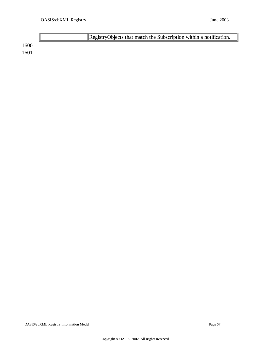RegistryObjects that match the Subscription within a notification. 1600 1601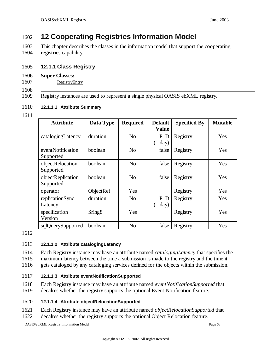# 1602 **12 Cooperating Registries Information Model**

1603 This chapter describes the classes in the information model that support the cooperating 1604 registries capability.

#### 1605 **12.1.1 Class Registry**

- 1606 **Super Classes:**
- 1607 RegistryEntry
- 1608

1609 Registry instances are used to represent a single physical OASIS ebXML registry.

#### 1610 **12.1.1.1 Attribute Summary**

1611

| <b>Attribute</b>               | Data Type          | <b>Required</b> | <b>Default</b><br><b>Value</b> | <b>Specified By</b> | <b>Mutable</b> |
|--------------------------------|--------------------|-----------------|--------------------------------|---------------------|----------------|
| catalogingLatency              | duration           | N <sub>o</sub>  | P <sub>1</sub> D<br>(1 day)    | Registry            | Yes            |
| eventNotification<br>Supported | boolean            | N <sub>0</sub>  | false                          | Registry            | Yes            |
| objectRelocation<br>Supported  | boolean            | N <sub>0</sub>  | false                          | Registry            | Yes            |
| objectReplication<br>Supported | boolean            | N <sub>0</sub>  | false                          | Registry            | Yes            |
| operator                       | ObjectRef          | Yes             |                                | Registry            | Yes            |
| replicationSync<br>Latency     | duration           | N <sub>o</sub>  | P <sub>1</sub> D<br>(1 day)    | Registry            | Yes            |
| specification<br>Version       | Sring <sub>8</sub> | Yes             |                                | Registry            | Yes            |
| sqlQuerySupported              | boolean            | N <sub>0</sub>  | false                          | Registry            | Yes            |

#### 1612

#### 1613 **12.1.1.2 Attribute catalogingLatency**

1614 Each Registry instance may have an attribute named *catalogingLatency* that specifies the

1615 maximum latency between the time a submission is made to the registry and the time it

1616 gets cataloged by any cataloging services defined for the objects within the submission.

#### 1617 **12.1.1.3 Attribute eventNotificationSupported**

1618 Each Registry instance may have an attribute named *eventNotificationSupported* that

1619 decalres whether the registry supports the optional Event Notification feature.

#### 1620 **12.1.1.4 Attribute objectRelocationSupported**

- 1621 Each Registry instance may have an attribute named *objectRelocationSupported* that
- 1622 decalres whether the registry supports the optional Object Relocation feature.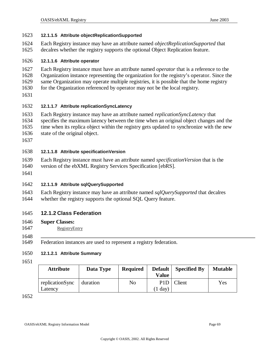#### **12.1.1.5 Attribute objectReplicationSupported**

 Each Registry instance may have an attribute named *objectReplicationSupported* that decalres whether the registry supports the optional Object Replication feature.

#### **12.1.1.6 Attribute operator**

- Each Registry instance must have an attribute named *operator* that is a reference to the
- Organization instance representing the organization for the registry's operator. Since the
- same Organization may operate multiple registries, it is possible that the home registry
- 1630 for the Organization referenced by operator may not be the local registry.
- 

#### **12.1.1.7 Attribute replicationSyncLatency**

- Each Registry instance may have an attribute named *replicationSyncLatency* that
- specifies the maximum latency between the time when an original object changes and the
- time when its replica object within the registry gets updated to synchronize with the new
- 1636 state of the original object.
- 

#### **12.1.1.8 Attribute specificationVersion**

- Each Registry instance must have an attribute named *specificationVersion* that is the
- version of the ebXML Registry Services Specification [ebRS].
- 

#### **12.1.1.9 Attribute sqlQuerySupported**

 Each Registry instance may have an attribute named *sqlQuerySupported* that decalres whether the registry supports the optional SQL Query feature.

#### **12.1.2 Class Federation**

#### **Super Classes:**

RegistryEntry

#### 

Federation instances are used to represent a registry federation.

#### **12.1.2.1 Attribute Summary**

| <b>Attribute</b>           | Data Type | <b>Required</b> | Default<br><b>Value</b> | <b>Specified By</b>       | <b>Mutable</b> |
|----------------------------|-----------|-----------------|-------------------------|---------------------------|----------------|
| replicationSync<br>Latency | duration  | No              | $(1 \text{ day})$       | P <sub>1</sub> D   Client | Yes            |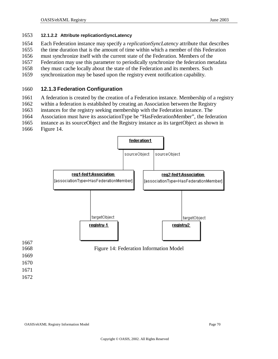#### **12.1.2.2 Attribute replicationSyncLatency**

- Each Federation instance may specify a *replicationSyncLatency* attribute that describes
- the time duration that is the amount of time within which a member of this Federation
- must synchronize itself with the current state of the Federation. Members of the
- Federation may use this parameter to periodically synchronize the federation metadata
- they must cache locally about the state of the Federation and its members. Such
- synchronization may be based upon the registry event notification capability.

#### **12.1.3 Federation Configuration**

- A federation is created by the creation of a Federation instance. Membership of a registry
- within a federation is established by creating an Association between the Registry
- instances for the registry seeking membership with the Federation instance. The
- Association must have its associationType be "HasFederationMember", the federation
- instance as its sourceObject and the Registry instance as its targetObject as shown in
- Figure 14.

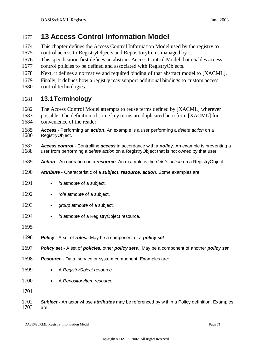# **13 Access Control Information Model**

- This chapter defines the Access Control Information Model used by the registry to
- control access to RegistryObjects and RepositoryItems managed by it.
- This specification first defines an abstract Access Control Model that enables access
- control policies to be defined and associated with RegistryObjects.
- Next, it defines a normative and required binding of that abstract model to [XACML].
- Finally, it defines how a registry may support additional bindings to custom access control technologies.

# **13.1Terminology**

- The Access Control Model attempts to reuse terms defined by [XACML] wherever
- possible. The definition of some key terms are duplicated here from [XACML] for convenience of the reader:
- *Access* Performing an *action*. An example is a user performing a *delete action* on a RegistryObject.
- *Access control* Controlling *access* in accordance with a *policy*. An example is preventing a user from performing a *delete action* on a RegistryObject that is not owned by that user.
- *Action* An operation on a *resource*. An example is the *delete action* on a RegistryObject.
- *Attribute* Characteristic of a *subject*, *resource, action*. Some examples are:
- 1691 *id attribute* of a subject.
- *role attribute* of a subject.
- *group attribute* of a subject.
- 1694 *id attribute* of a RegistryObject resource.
- 
- *Policy -* A set of *rules.* May be a component of a *policy set*
- *Policy set* A set of *policies,* other *policy sets.* May be a component of another *policy set*
- *Resource* Data, service or system component. Examples are:
- A *RegistryObject resource*
- A *RepositoryItem resource*
- 
- *Subject* **-** An actor whose *attributes* may be referenced by within a Policy definition. Examples are: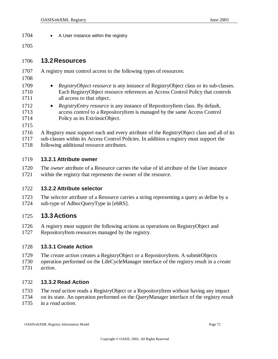- 
- 1704 A User instance within the registry

#### 

### **13.2Resources**

A registry must control access to the following types of resources:

- 
- 
- 
- 1709 *RegistryObject resource* is any instance of RegistryObject class or its sub-classes. Each RegistryObject resource references an Access Control Policy that controls 1711 all access to that object.
- *RegistryEntry resource* is any instance of RepositoryItem class. By default, access control to a RepositoryItem is managed by the same Access Control Policy as its ExtrinsicObject.
- 

A Registry must support each and every attribute of the RegistryObject class and all of its

 sub-classes within its Access Control Policies. In addition a registry must support the following additional resource attributes.

- **13.2.1 Attribute owner**
- The *owner* attribute of a Resource carries the value of id attribute of the User instance within the registry that represents the owner of the resource.

### **13.2.2 Attribute selector**

 The *selector* attribute of a Resource carries a string representing a query as define by a sub-type of AdhocQueryType in [ebRS].

### **13.3Actions**

- A registry must support the following actions as operations on RegistryObject and
- RepositoryItem resources managed by the registry.

### **13.3.1 Create Action**

- The *create action* creates a RegistryObject or a RepositoryItem. A submitObjects
- operation performed on the LifeCycleManager interface of the registry result in a *create action.*

### **13.3.2 Read Action**

- The *read action* reads a RegistryObject or a RepositoryItem without having any impact
- on its state. An operation performed on the QueryManager interface of the registry result
- in a *read action.*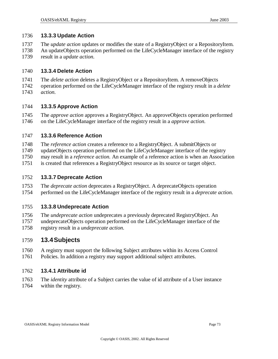#### **13.3.3 Update Action**

- The *update action* updates or modifies the state of a RegistryObject or a RepositoryItem.
- An updateObjects operation performed on the LifeCycleManager interface of the registry result in a *update action.*

#### **13.3.4 Delete Action**

 The *delete action* deletes a RegistryObject or a RepositoryItem. A removeObjects operation performed on the LifeCycleManager interface of the registry result in a *delete*

*action.*

#### **13.3.5 Approve Action**

 The *approve action* approves a RegistryObject. An approveObjects operation performed on the LifeCycleManager interface of the registry result in a *approve action.*

#### **13.3.6 Reference Action**

- The *reference action* creates a reference to a RegistryObject. A submitObjects or
- updateObjects operation performed on the LifeCycleManager interface of the registry
- may result in a *reference action.* An example of a reference action is when an Association
- is created that references a RegistryObject resource as its source or target object.

#### **13.3.7 Deprecate Action**

- The *deprecate action* deprecates a RegistryObject. A deprecateObjects operation
- performed on the LifeCycleManager interface of the registry result in a *deprecate action.*

#### **13.3.8 Undeprecate Action**

- The *undeprecate action* undeprecates a previously deprecated RegistryObject. An
- undeprecateObjects operation performed on the LifeCycleManager interface of the registry result in a *undeprecate action.*

#### **13.4Subjects**

 A registry must support the following Subject attributes within its Access Control Policies. In addition a registry may support additional subject attributes.

#### **13.4.1 Attribute id**

 The *identity* attribute of a Subject carries the value of id attribute of a User instance within the registry.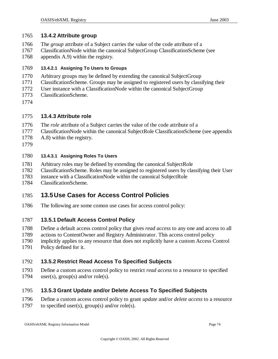#### **13.4.2 Attribute group**

- The *group* attribute of a Subject carries the value of the code attribute of a
- ClassificationNode within the canonical SubjectGroup ClassificationScheme (see
- appendix A.9) within the registry.

#### **13.4.2.1 Assigning To Users to Groups**

- Arbitrary groups may be defined by extending the canonical SubjectGroup
- ClassificationScheme. Groups may be assigned to registered users by classifying their
- User instance with a ClassificationNode within the canonical SubjectGroup
- ClassificationScheme.
- 

#### **13.4.3 Attribute role**

- The *role* attribute of a Subject carries the value of the code attribute of a
- ClassificationNode within the canonical SubjectRole ClassificationScheme (see appendix
- A.8) within the registry.
- 

#### **13.4.3.1 Assigning Roles To Users**

- Arbitrary roles may be defined by extending the canonical SubjectRole
- ClassificationScheme. Roles may be assigned to registered users by classifying their User
- instance with a ClassificationNode within the canonical SubjectRole
- ClassificationScheme.

### **13.5Use Cases for Access Control Policies**

The following are some comon use cases for access control policy:

### **13.5.1 Default Access Control Policy**

- Define a default access control policy that gives *read access* to any one and access to all
- actions to ContentOwner and Registry Administrator. This access control policy
- implicitly applies to any resource that does not explicitly have a custom Access Control
- Policy defined for it.

### **13.5.2 Restrict Read Access To Specified Subjects**

- Define a custom access control policy to restrict *read access* to a resource to specified
- 1794 user(s), group(s) and/or role(s).

### **13.5.3 Grant Update and/or Delete Access To Specified Subjects**

- Define a custom access control policy to grant *update* and/or *delete access* to a resource
- 1797 to specified user(s), group(s) and/or role(s).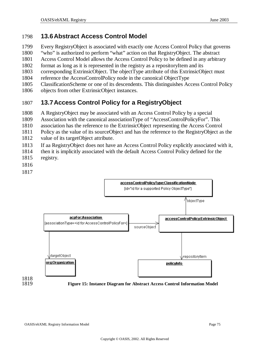### **13.6Abstract Access Control Model**

Every RegistryObject is associated with exactly one Access Control Policy that governs

"who" is authorized to perform "what" action on that RegistryObject. The abstract

Access Control Model allows the Access Control Policy to be defined in any arbitrary

format as long as it is represented in the registry as a repositoryItem and its

corresponding ExtrinsicObject. The objectType attribute of this ExtrinsicObject must

reference the AccessControlPolicy node in the canonical ObjectType

ClassificationScheme or one of its descendents. This distinguishes Access Control Policy

objects from other ExtrinsicObject instances.

### **13.7Access Control Policy for a RegistryObject**

A RegistryObject may be associated with an Access Control Policy by a special

Association with the canonical associationType of "AccessControlPolicyFor". This

association has the reference to the ExtrinsicObject representing the Access Control

Policy as the value of its sourceObject and has the reference to the RegistryObject as the

value of its targetObject attribute.

If aa RegistryObject does not have an Access Control Policy explicitly associated with it,

then it is implicitly associated with the default Access Control Policy defined for the

registry.





**Figure 15: Instance Diagram for Abstract Access Control Information Model**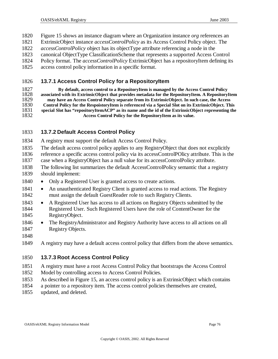Figure 15 shows an instance diagram where an Organization instance *org* references an

ExtrinsicObject instance *accessControlPolicy* as its Access Control Policy object. The

*accessControlPolicy* object has its objectType attribute referencing a node in the

canonical ObjectType ClassificationScheme that represents a supported Access Control

Policy format. The *accessControlPolicy* ExtrinsicObject has a repositoryItem defining its

access control policy information in a specific format.

#### **13.7.1 Access Control Policy for a RepositoryItem**

 **By default, access control to a RepositoryItem is managed by the Access Control Policy associated with its ExtrinsicObject that provides metadata for the RepositoryItem. A RepositoryItem may have an Access Control Policy separate from its ExtrinsicObject. In such case, the Access Control Policy for the RespoistoryItem is referenced via a Special Slot on its ExtrinsicObject. This special Slot has "repositoryItemACP" as its name and the id of the ExtrinsicObject representing the Access Control Policy for the RepositoryItem as its value.**

### **13.7.2 Default Access Control Policy**

A registry must support the default Access Control Policy.

The default access control policy applies to any RegistryObject that does not excplicitly

reference a specific access control policy via its accessControlPOlicy attribute. This is the

case when a RegistryObject has a null value for its accessControlPolicy attribute.

 The following list summarizes the default AccessControlPolicy semantic that a registry should implement:

- 1840 Only a Registered User is granted access to create actions.
- 1841 An unauthenticated Registry Client is granted access to read actions. The Registry must assign the default GuestReader role to such Registry Clients.
- A Registered User has access to all actions on Registry Objects submitted by the Registered User. Such Registered Users have the role of ContentOwner for the RegistryObject.
- The RegistryAdministrator and Registry Authority have access to all actions on all Registry Objects.
- 

A registry may have a default access control policy that differs from the above semantics.

### **13.7.3 Root Access Control Policy**

A registry must have a root Access Control Policy that bootstraps the Access Control

- Model by controlling access to Access Control Policies.
- As described in Figure 15, an access control policy is an ExtrinsicObject which contains
- a pointer to a repository item. The access control policies themselves are created,
- updated, and deleted.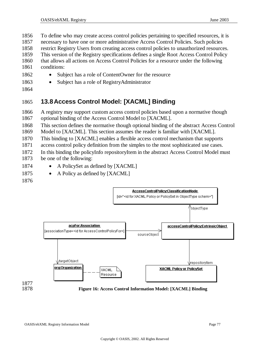- To define who may create access control policies pertaining to specified resources, it is
- necessary to have one or more administrative Access Control Policies. Such policies
- restrict Registry Users from creating access control policies to unauthorized resources.
- This version of the Registry specifications defines a single Root Access Control Policy that allows all actions on Access Control Policies for a resource under the following conditions:
- 1862 Subject has a role of ContentOwner for the resource
- 1863 Subject has a role of RegistryAdministrator
- 

### **13.8Access Control Model: [XACML] Binding**

- A registry may support custom access control policies based upon a normative though
- optional binding of the Access Control Model to [XACML].
- This section defines the normative though optional binding of the abstract Access Control
- Model to [XACML]. This section assumes the reader is familiar with [XACML].
- This binding to [XACML] enables a flexible access control mechanism that supports
- access control policy definition from the simples to the most sophisticated use cases.
- In this binding the policyInfo repositoryItem in the abstract Access Control Model must
- be one of the following:
- 1874 A PolicySet as defined by [XACML]
- 1875 A Policy as defined by [XACML]
- 





Figure 16: Access Control Information Model: [XACML] Binding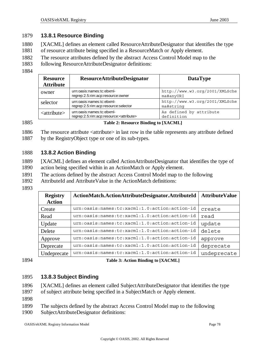#### 1879 **13.8.1 Resource Binding**

- 1880 [XACML] defines an element called ResourceAttributeDesignator that identifies the type
- 1881 of resource attribute being specified in a ResourceMatch or Apply element.
- 1882 The resource attributes defined by the abstract Access Control Model map to the
- 1883 following ResourceAttributeDesignator definitions:
- 1884

| <b>ResourceAttributeDesignator</b>                   | <b>DataType</b>                |
|------------------------------------------------------|--------------------------------|
| urn:oasis:names:tc:ebxml-                            | http://www.w3.org/2001/XMLSche |
| regrep:2.5:rim:acp:resource:owner                    | ma#anyURI                      |
| urn:oasis:names:tc:ebxml-                            | http://www.w3.org/2001/XMLSche |
| regrep:2.5:rim:acp:resource:selector                 | ma#string                      |
| urn:oasis:names:tc:ebxml-                            | As defined by attribute        |
| regrep:2.5:rim:acp:resource: <attribute></attribute> | definition                     |
|                                                      |                                |

1885 **Table 2: Resource Binding to [XACML]**

1886 The resource attribute <attribute> in last row in the table represents any attribute defined

1887 by the RegistryObject type or one of its sub-types.

#### 1888 **13.8.2 Action Binding**

1889 [XACML] defines an element called ActionAttributeDesignator that identifies the type of 1890 action being specified within in an ActionMatch or Apply element.

1891 The actions defined by the abstract Access Control Model map to the following

1892 AttributeId and AttributeValue in the ActionMatch definitions:

1893

| <b>Registry</b><br><b>Action</b> | ActionMatch.ActionAttributeDesignator.AttributeId | <b>AttributeValue</b> |
|----------------------------------|---------------------------------------------------|-----------------------|
| Create                           | urn:oasis:names:tc:xacml:1.0:action:action-id     | create                |
| Read                             | urn:oasis:names:tc:xacml:1.0:action:action-id     | read                  |
| Update                           | urn:oasis:names:tc:xacml:1.0:action:action-id     | update                |
| Delete                           | urn:oasis:names:tc:xacml:1.0:action:action-id     | delete                |
| Approve                          | urn:oasis:names:tc:xacml:1.0:action:action-id     | approve               |
| Deprecate                        | urn:oasis:names:tc:xacml:1.0:action:action-id     | deprecate             |
| Undeprecate                      | urn:oasis:names:tc:xacml:1.0:action:action-id     | undeprecate           |

1894 **Table 3: Action Binding to [XACML]**

#### 1895 **13.8.3 Subject Binding**

1896 [XACML] defines an element called SubjectAttributeDesignator that identifies the type

- 1897 of subject attribute being specified in a SubjectMatch or Apply element.
- 1898

1899 The subjects defined by the abstract Access Control Model map to the following

1900 SubjectAttributeDesignator definitions: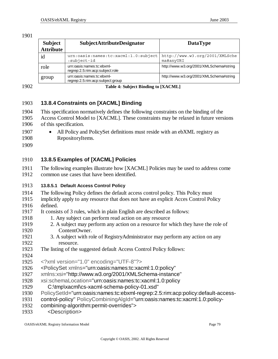| <b>Subject</b><br><b>Attribute</b> | <b>SubjectAttributeDesignator</b>                             | <b>DataType</b>                             |
|------------------------------------|---------------------------------------------------------------|---------------------------------------------|
| id                                 | urn:oasis:names:tc:xacml:1.0:subject<br>:subject-id           | http://www.w3.org/2001/XMLSche<br>ma#anyURI |
| role                               | urn:oasis:names:tc:ebxml-<br>regrep:2.5:rim:acp:subject:role  | http://www.w3.org/2001/XMLSchema#string     |
| group                              | urn:oasis:names:tc:ebxml-<br>regrep:2.5:rim:acp:subject:group | http://www.w3.org/2001/XMLSchema#string     |

**Table 4: Subject Binding to [XACML]**

### **13.8.4 Constraints on [XACML] Binding**

- This specification normatively defines the following constraints on the binding of the
- Access Control Model to [XACML]. These constraints may be relaxed in future versions of this specification.
- 1907 All Policy and PolicySet definitions must reside with an ebXML registry as
- RepositoryItems.
- 

### **13.8.5 Examples of [XACML] Policies**

 The following examples illustrate how [XACML] Policies may be used to address come common use cases that have been identified.

#### **13.8.5.1 Default Access Control Policy**

- The following Policy defines the default access control policy. This Policy must
- implicitly apply to any resource that does not have an explicit Acces Control Policy defined.
- It consists of 3 rules, which in plain English are described as follows:
- 1918 1. Any subject can perform read action on any resource
- 2. A subject may perform any action on a resource for which they have the role of ContentOwner.
- 3. A subject with role of RegistryAdministrator may perform any action on any resource.
- The listing of the suggested default Access Control Policy follows:
- 
- <?xml version="1.0" encoding="UTF-8"?>
- <PolicySet xmlns="urn:oasis:names:tc:xacml:1.0:policy"
- xmlns:xsi="http://www.w3.org/2001/XMLSchema-instance"
- xsi:schemaLocation="urn:oasis:names:tc:xacml:1.0:policy
- C:\tmp\xacml\cs-xacml-schema-policy-01.xsd"
- PolicySetId="urn:oasis:names:tc:ebxml-regrep:2.5:rim:acp:policy:default-access-
- control-policy" PolicyCombiningAlgId="urn:oasis:names:tc:xacml:1.0:policy-
- combining-algorithm:permit-overrides">
- <Description>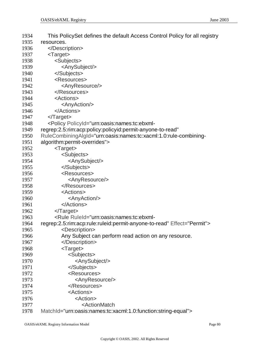| 1934 | This PolicySet defines the default Access Control Policy for all registry                                                                                                                    |
|------|----------------------------------------------------------------------------------------------------------------------------------------------------------------------------------------------|
| 1935 | resources.                                                                                                                                                                                   |
| 1936 |                                                                                                                                                                                              |
| 1937 | <target></target>                                                                                                                                                                            |
| 1938 | <subjects></subjects>                                                                                                                                                                        |
| 1939 | <anysubject></anysubject>                                                                                                                                                                    |
| 1940 |                                                                                                                                                                                              |
| 1941 | <resources></resources>                                                                                                                                                                      |
| 1942 | <anyresource></anyresource>                                                                                                                                                                  |
| 1943 |                                                                                                                                                                                              |
| 1944 | <actions></actions>                                                                                                                                                                          |
| 1945 | <anyaction></anyaction>                                                                                                                                                                      |
| 1946 |                                                                                                                                                                                              |
| 1947 | $<$ Target $>$                                                                                                                                                                               |
| 1948 | <policy <="" policyid="urn:oasis:names:tc:ebxml-&lt;/td&gt;&lt;/tr&gt;&lt;tr&gt;&lt;td&gt;1949&lt;/td&gt;&lt;td&gt;regrep:2.5:rim:acp:policy:policyid:permit-anyone-to-read" td=""></policy> |
| 1950 | RuleCombiningAlgId="urn:oasis:names:tc:xacml:1.0:rule-combining-                                                                                                                             |
| 1951 | algorithm:permit-overrides">                                                                                                                                                                 |
| 1952 | <target></target>                                                                                                                                                                            |
| 1953 | <subjects></subjects>                                                                                                                                                                        |
| 1954 | <anysubject></anysubject>                                                                                                                                                                    |
| 1955 |                                                                                                                                                                                              |
| 1956 | <resources></resources>                                                                                                                                                                      |
| 1957 | <anyresource></anyresource>                                                                                                                                                                  |
| 1958 |                                                                                                                                                                                              |
| 1959 | <actions></actions>                                                                                                                                                                          |
| 1960 | <anyaction></anyaction>                                                                                                                                                                      |
| 1961 |                                                                                                                                                                                              |
| 1962 | $<$ Target $>$                                                                                                                                                                               |
| 1963 | <rule effect="Permit" ruleid="urn:oasis:names:tc:ebxml-&lt;/td&gt;&lt;/tr&gt;&lt;tr&gt;&lt;td&gt;1964&lt;/td&gt;&lt;td&gt;regrep:2.5:rim:acp:rule:ruleid:permit-anyone-to-read"></rule>      |
| 1965 | <description></description>                                                                                                                                                                  |
| 1966 | Any Subject can perform read action on any resource                                                                                                                                          |
| 1967 |                                                                                                                                                                                              |
| 1968 | <target></target>                                                                                                                                                                            |
| 1969 | <subjects></subjects>                                                                                                                                                                        |
| 1970 | <anysubject></anysubject>                                                                                                                                                                    |
| 1971 |                                                                                                                                                                                              |
| 1972 | <resources></resources>                                                                                                                                                                      |
| 1973 | <anyresource></anyresource>                                                                                                                                                                  |
| 1974 |                                                                                                                                                                                              |
| 1975 | <actions></actions>                                                                                                                                                                          |
| 1976 | <action></action>                                                                                                                                                                            |
| 1977 | <actionmatch< td=""></actionmatch<>                                                                                                                                                          |
| 1978 | MatchId="urn:oasis:names:tc:xacml:1.0:function:string-equal">                                                                                                                                |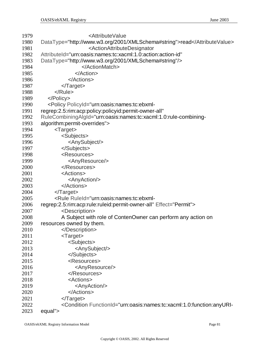| 1979 | <attributevalue< th=""></attributevalue<>                                                                                                                                               |
|------|-----------------------------------------------------------------------------------------------------------------------------------------------------------------------------------------|
| 1980 | DataType="http://www.w3.org/2001/XMLSchema#string">read                                                                                                                                 |
| 1981 | <actionattributedesignator< td=""></actionattributedesignator<>                                                                                                                         |
| 1982 | AttributeId="urn:oasis:names:tc:xacml:1.0:action:action-id"                                                                                                                             |
| 1983 | DataType="http://www.w3.org/2001/XMLSchema#string"/>                                                                                                                                    |
| 1984 |                                                                                                                                                                                         |
| 1985 |                                                                                                                                                                                         |
| 1986 |                                                                                                                                                                                         |
| 1987 | $<$ Target $>$                                                                                                                                                                          |
| 1988 | $<$ /Rule>                                                                                                                                                                              |
| 1989 |                                                                                                                                                                                         |
| 1990 | <policy <="" policyid="urn:oasis:names:tc:ebxml-&lt;/td&gt;&lt;/tr&gt;&lt;tr&gt;&lt;td&gt;1991&lt;/td&gt;&lt;td&gt;regrep:2.5:rim:acp:policy:policyid:permit-owner-all" td=""></policy> |
| 1992 | RuleCombiningAlgId="urn:oasis:names:tc:xacml:1.0:rule-combining-                                                                                                                        |
| 1993 | algorithm:permit-overrides">                                                                                                                                                            |
| 1994 | <target></target>                                                                                                                                                                       |
| 1995 | <subjects></subjects>                                                                                                                                                                   |
| 1996 | <anysubject></anysubject>                                                                                                                                                               |
| 1997 |                                                                                                                                                                                         |
| 1998 | <resources></resources>                                                                                                                                                                 |
| 1999 | <anyresource></anyresource>                                                                                                                                                             |
| 2000 |                                                                                                                                                                                         |
| 2001 | <actions></actions>                                                                                                                                                                     |
| 2002 | <anyaction></anyaction>                                                                                                                                                                 |
| 2003 |                                                                                                                                                                                         |
| 2004 | $<$ Target $>$                                                                                                                                                                          |
| 2005 | <rule effect="Permit" ruleid="urn:oasis:names:tc:ebxml-&lt;/td&gt;&lt;/tr&gt;&lt;tr&gt;&lt;td&gt;2006&lt;/td&gt;&lt;td&gt;regrep:2.5:rim:acp:rule:ruleid:permit-owner-all"></rule>      |
| 2007 | <description></description>                                                                                                                                                             |
| 2008 | A Subject with role of ContenOwner can perform any action on                                                                                                                            |
| 2009 | resources owned by them.                                                                                                                                                                |
| 2010 |                                                                                                                                                                                         |
| 2011 | <target></target>                                                                                                                                                                       |
| 2012 | <subjects></subjects>                                                                                                                                                                   |
| 2013 | <anysubject></anysubject>                                                                                                                                                               |
| 2014 |                                                                                                                                                                                         |
| 2015 | <resources></resources>                                                                                                                                                                 |
| 2016 | <anyresource></anyresource>                                                                                                                                                             |
| 2017 |                                                                                                                                                                                         |
| 2018 | <actions></actions>                                                                                                                                                                     |
| 2019 | <anyaction></anyaction>                                                                                                                                                                 |
| 2020 |                                                                                                                                                                                         |
| 2021 |                                                                                                                                                                                         |
| 2022 | <condition functionid="urn:oasis:names:tc:xacml:1.0:function:anyURI-&lt;/td&gt;&lt;/tr&gt;&lt;tr&gt;&lt;td&gt;2023&lt;/td&gt;&lt;td&gt;equal"></condition>                              |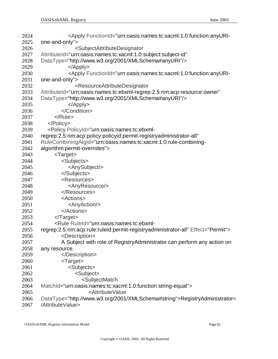| 2024 | <apply functionid="urn:oasis:names:tc:xacml:1.0:function:anyURI-&lt;/th&gt;&lt;/tr&gt;&lt;tr&gt;&lt;td&gt;2025&lt;/td&gt;&lt;td&gt;one-and-only"></apply>                                               |
|------|---------------------------------------------------------------------------------------------------------------------------------------------------------------------------------------------------------|
| 2026 | <subjectattributedesignator< td=""></subjectattributedesignator<>                                                                                                                                       |
| 2027 | AttributeId="urn:oasis:names:tc:xacml:1.0:subject:subject-id"                                                                                                                                           |
| 2028 | DataType="http://www.w3.org/2001/XMLSchema#anyURI"/>                                                                                                                                                    |
| 2029 | $<$ /Apply>                                                                                                                                                                                             |
| 2030 | <apply functionid="urn:oasis:names:tc:xacml:1.0:function:anyURI-&lt;/td&gt;&lt;/tr&gt;&lt;tr&gt;&lt;td&gt;2031&lt;/td&gt;&lt;td&gt;one-and-only"></apply>                                               |
| 2032 | <resourceattributedesignator< td=""></resourceattributedesignator<>                                                                                                                                     |
| 2033 | AttributeId="urn:oasis:names:tc:ebxml-regrep:2.5:rim:acp:resource:owner"                                                                                                                                |
| 2034 | DataType="http://www.w3.org/2001/XMLSchema#anyURI"/>                                                                                                                                                    |
| 2035 | $<$ /Apply>                                                                                                                                                                                             |
| 2036 |                                                                                                                                                                                                         |
| 2037 | $<$ /Rule>                                                                                                                                                                                              |
| 2038 |                                                                                                                                                                                                         |
| 2039 | <policy <="" policyid="urn:oasis:names:tc:ebxml-&lt;/td&gt;&lt;/tr&gt;&lt;tr&gt;&lt;td&gt;2040&lt;/td&gt;&lt;td&gt;regrep:2.5:rim:acp:policy:policyid:permit-registryadministrator-all" td=""></policy> |
| 2041 | RuleCombiningAlgId="urn:oasis:names:tc:xacml:1.0:rule-combining-                                                                                                                                        |
| 2042 | algorithm:permit-overrides">                                                                                                                                                                            |
| 2043 | <target></target>                                                                                                                                                                                       |
| 2044 | <subjects></subjects>                                                                                                                                                                                   |
| 2045 | <anysubject></anysubject>                                                                                                                                                                               |
| 2046 |                                                                                                                                                                                                         |
| 2047 | <resources></resources>                                                                                                                                                                                 |
| 2048 | <anyresource></anyresource>                                                                                                                                                                             |
| 2049 |                                                                                                                                                                                                         |
| 2050 | <actions></actions>                                                                                                                                                                                     |
| 2051 | <anyaction></anyaction>                                                                                                                                                                                 |
| 2052 |                                                                                                                                                                                                         |
| 2053 | $\langle$ Target>                                                                                                                                                                                       |
| 2054 | <rule effect="Permit" ruleid="urn:oasis:names:tc:ebxml-&lt;/td&gt;&lt;/tr&gt;&lt;tr&gt;&lt;td&gt;2055&lt;/td&gt;&lt;td&gt;regrep:2.5:rim:acp:rule:ruleid:permit-registryadministrator-all"></rule>      |
| 2056 | <description></description>                                                                                                                                                                             |
| 2057 | A Subject with role of RegistryAdministrator can perform any action on                                                                                                                                  |
| 2058 | any resource.                                                                                                                                                                                           |
| 2059 |                                                                                                                                                                                                         |
| 2060 | <target></target>                                                                                                                                                                                       |
| 2061 | <subjects></subjects>                                                                                                                                                                                   |
| 2062 | <subject></subject>                                                                                                                                                                                     |
| 2063 | <subjectmatch< td=""></subjectmatch<>                                                                                                                                                                   |
| 2064 | MatchId="urn:oasis:names:tc:xacml:1.0:function:string-equal">                                                                                                                                           |
| 2065 | <attributevalue< td=""></attributevalue<>                                                                                                                                                               |
| 2066 | DataType="http://www.w3.org/2001/XMLSchema#string">RegistryAdministrator<                                                                                                                               |
| 2067 | /AttributeValue>                                                                                                                                                                                        |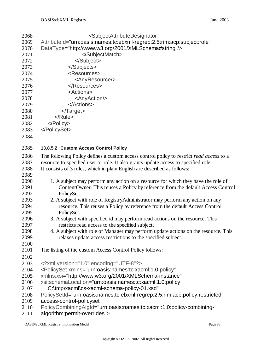| 2068 | <subjectattributedesignator< th=""></subjectattributedesignator<>                        |
|------|------------------------------------------------------------------------------------------|
| 2069 | AttributeId="urn:oasis:names:tc:ebxml-regrep:2.5:rim:acp:subject:role"                   |
| 2070 | DataType="http://www.w3.org/2001/XMLSchema#string"/>                                     |
| 2071 |                                                                                          |
| 2072 |                                                                                          |
| 2073 |                                                                                          |
| 2074 | <resources></resources>                                                                  |
| 2075 | <anyresource></anyresource>                                                              |
| 2076 |                                                                                          |
| 2077 | <actions></actions>                                                                      |
| 2078 | <anyaction></anyaction>                                                                  |
| 2079 |                                                                                          |
| 2080 | $<$ Target $>$                                                                           |
| 2081 | $<$ /Rule>                                                                               |
| 2082 |                                                                                          |
| 2083 |                                                                                          |
| 2084 |                                                                                          |
|      |                                                                                          |
| 2085 | 13.8.5.2 Custom Access Control Policy                                                    |
| 2086 | The following Policy defines a custom access control policy to restrict read access to a |
| 2087 | resource to specified user or role. It also grants update access to specified role.      |
| 2088 | It consists of 3 rules, which in plain English are described as follows:                 |
| 2089 |                                                                                          |
| 2090 | 1. A subject may perform any action on a resource for which they have the role of        |
| 2091 | ContentOwner. This reuses a Policy by reference from the default Access Control          |
| 2092 | PolicySet.                                                                               |
| 2093 | 2. A subject with role of RegistryAdministrator may perform any action on any            |
| 2094 | resource. This reuses a Policy by reference from the default Access Control              |
| 2095 | PolicySet.                                                                               |
| 2096 | 3. A subject with specified id may perform read actions on the resource. This            |
| 2097 | restricts read access to the specified subject.                                          |
| 2098 | 4. A subject with role of Manager may perform update actions on the resource. This       |
| 2099 | relaxes update access restrictions to the specified subject.                             |
| 2100 |                                                                                          |
| 2101 | The listing of the custom Access Control Policy follows:                                 |
| 2102 |                                                                                          |
| 2103 | xml version="1.0" encoding="UTF-8"?                                                      |
| 2104 | <policyset <="" td="" xmlns="urn:oasis:names:tc:xacml:1.0:policy"></policyset>           |
| 2105 | xmlns:xsi="http://www.w3.org/2001/XMLSchema-instance"                                    |
| 2106 | xsi:schemaLocation="urn:oasis:names:tc:xacml:1.0:policy                                  |
| 2107 | C:\tmp\xacml\cs-xacml-schema-policy-01.xsd"                                              |
| 2108 | PolicySetId="urn:oasis:names:tc:ebxml-regrep:2.5:rim:acp:policy:restricted-              |
| 2109 | access-control-policyset"                                                                |
| 2110 | PolicyCombiningAlgId="urn:oasis:names:tc:xacml:1.0:policy-combining-                     |
| 2111 | algorithm:permit-overrides">                                                             |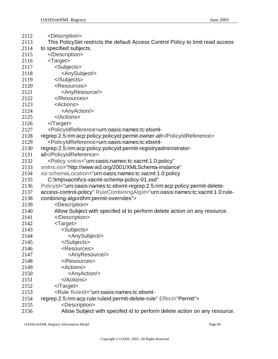| 2112 | <description></description>                                                                                                                                                          |
|------|--------------------------------------------------------------------------------------------------------------------------------------------------------------------------------------|
| 2113 | This PolicySet restricts the default Access Control Policy to limit read access                                                                                                      |
| 2114 | to specified subjects.                                                                                                                                                               |
| 2115 |                                                                                                                                                                                      |
| 2116 | $<$ Target $>$                                                                                                                                                                       |
| 2117 | <subjects></subjects>                                                                                                                                                                |
| 2118 | <anysubject></anysubject>                                                                                                                                                            |
| 2119 |                                                                                                                                                                                      |
| 2120 | <resources></resources>                                                                                                                                                              |
| 2121 | <anyresource></anyresource>                                                                                                                                                          |
| 2122 |                                                                                                                                                                                      |
| 2123 | <actions></actions>                                                                                                                                                                  |
| 2124 | <anyaction></anyaction>                                                                                                                                                              |
| 2125 |                                                                                                                                                                                      |
| 2126 | $<$ Target $>$                                                                                                                                                                       |
| 2127 | <policyidreference>urn:oasis:names:tc:ebxml-</policyidreference>                                                                                                                     |
| 2128 | regrep:2.5:rim:acp:policy:policyid:permit-owner-all                                                                                                                                  |
| 2129 | <policyidreference>urn:oasis:names:tc:ebxml-</policyidreference>                                                                                                                     |
| 2130 | regrep:2.5:rim:acp:policy:policyid:permit-registryadministrator-                                                                                                                     |
| 2131 | all                                                                                                                                                                                  |
| 2132 | <policy <="" td="" xmlns="urn:oasis:names:tc:xacml:1.0:policy"></policy>                                                                                                             |
| 2133 | xmlns:xsi="http://www.w3.org/2001/XMLSchema-instance"                                                                                                                                |
| 2134 | xsi:schemaLocation="urn:oasis:names:tc:xacml:1.0:policy                                                                                                                              |
| 2135 | C:\tmp\xacml\cs-xacml-schema-policy-01.xsd"                                                                                                                                          |
| 2136 | PolicyId="urn:oasis:names:tc:ebxml-regrep:2.5:rim:acp:policy:permit-delete-                                                                                                          |
| 2137 | access-control-policy" RuleCombiningAlgId="urn:oasis:names:tc:xacml:1.0:rule-                                                                                                        |
| 2138 | combining-algorithm:permit-overrides">                                                                                                                                               |
| 2139 | <description></description>                                                                                                                                                          |
| 2140 | Allow Subject with specifed id to perform delete action on any resource.                                                                                                             |
| 2141 |                                                                                                                                                                                      |
| 2142 | <target></target>                                                                                                                                                                    |
| 2143 | <subjects></subjects>                                                                                                                                                                |
| 2144 | <anysubject></anysubject>                                                                                                                                                            |
| 2145 |                                                                                                                                                                                      |
| 2146 | <resources></resources>                                                                                                                                                              |
| 2147 | <anyresource></anyresource>                                                                                                                                                          |
| 2148 |                                                                                                                                                                                      |
| 2149 | <actions></actions>                                                                                                                                                                  |
| 2150 | <anyaction></anyaction>                                                                                                                                                              |
| 2151 |                                                                                                                                                                                      |
| 2152 | $<$ Target>                                                                                                                                                                          |
| 2153 | <rule effect="Permit" ruleid="urn:oasis:names:tc:ebxml-&lt;/td&gt;&lt;/tr&gt;&lt;tr&gt;&lt;td&gt;2154&lt;/td&gt;&lt;td&gt;regrep:2.5:rim:acp:rule:ruleid:permit-delete-rule"></rule> |
| 2155 | <description></description>                                                                                                                                                          |
| 2156 | Allow Subject with specifed id to perform delete action on any resource.                                                                                                             |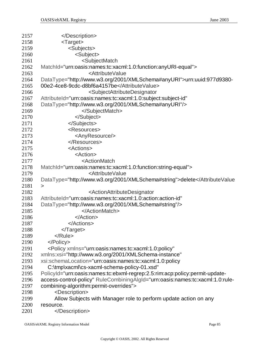| 2157 |                                                                               |
|------|-------------------------------------------------------------------------------|
| 2158 | <target></target>                                                             |
| 2159 | <subjects></subjects>                                                         |
| 2160 | <subject></subject>                                                           |
| 2161 | <subjectmatch< td=""></subjectmatch<>                                         |
| 2162 | MatchId="urn:oasis:names:tc:xacml:1.0:function:anyURI-equal">                 |
| 2163 | <attributevalue< td=""></attributevalue<>                                     |
| 2164 | DataType="http://www.w3.org/2001/XMLSchema#anyURI">urn:uuid:977d9380-         |
| 2165 | 00e2-4ce8-9cdc-d8bf6a4157be                                                   |
| 2166 | <subjectattributedesignator< td=""></subjectattributedesignator<>             |
| 2167 | AttributeId="urn:oasis:names:tc:xacml:1.0:subject:subject-id"                 |
| 2168 | DataType="http://www.w3.org/2001/XMLSchema#anyURI"/>                          |
| 2169 |                                                                               |
| 2170 |                                                                               |
| 2171 |                                                                               |
| 2172 | <resources></resources>                                                       |
| 2173 | <anyresource></anyresource>                                                   |
| 2174 |                                                                               |
| 2175 | <actions></actions>                                                           |
| 2176 | <action></action>                                                             |
| 2177 | <actionmatch< td=""></actionmatch<>                                           |
| 2178 | MatchId="urn:oasis:names:tc:xacml:1.0:function:string-equal">                 |
| 2179 | <attributevalue< td=""></attributevalue<>                                     |
| 2180 | DataType="http://www.w3.org/2001/XMLSchema#string">delete                     |
| 2181 | $\geq$                                                                        |
| 2182 | <actionattributedesignator< td=""></actionattributedesignator<>               |
| 2183 | AttributeId="urn:oasis:names:tc:xacml:1.0:action:action-id"                   |
| 2184 | DataType="http://www.w3.org/2001/XMLSchema#string"/>                          |
| 2185 |                                                                               |
| 2186 |                                                                               |
| 2187 |                                                                               |
| 2188 | $<$ Target>                                                                   |
| 2189 | $<$ /Rule $>$                                                                 |
| 2190 |                                                                               |
| 2191 | <policy <="" td="" xmlns="urn:oasis:names:tc:xacml:1.0:policy"></policy>      |
| 2192 | xmlns:xsi="http://www.w3.org/2001/XMLSchema-instance"                         |
| 2193 | xsi:schemaLocation="urn:oasis:names:tc:xacml:1.0:policy                       |
| 2194 | C:\tmp\xacml\cs-xacml-schema-policy-01.xsd"                                   |
| 2195 | PolicyId="urn:oasis:names:tc:ebxml-regrep:2.5:rim:acp:policy:permit-update-   |
| 2196 | access-control-policy" RuleCombiningAlgId="urn:oasis:names:tc:xacml:1.0:rule- |
| 2197 | combining-algorithm:permit-overrides">                                        |
| 2198 | <description></description>                                                   |
| 2199 | Allow Subjects with Manager role to perform update action on any              |
| 2200 | resource.                                                                     |
| 2201 |                                                                               |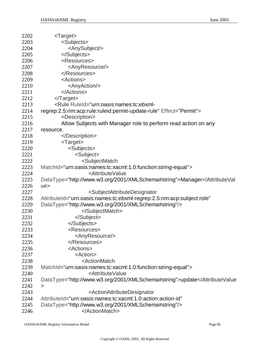| 2202 | <target></target>                                                                                                                                                                    |
|------|--------------------------------------------------------------------------------------------------------------------------------------------------------------------------------------|
| 2203 | <subjects></subjects>                                                                                                                                                                |
| 2204 | <anysubject></anysubject>                                                                                                                                                            |
| 2205 |                                                                                                                                                                                      |
| 2206 | <resources></resources>                                                                                                                                                              |
| 2207 | <anyresource></anyresource>                                                                                                                                                          |
| 2208 |                                                                                                                                                                                      |
| 2209 | <actions></actions>                                                                                                                                                                  |
| 2210 | <anyaction></anyaction>                                                                                                                                                              |
| 2211 |                                                                                                                                                                                      |
| 2212 | $\langle$ Target>                                                                                                                                                                    |
| 2213 | <rule effect="Permit" ruleid="urn:oasis:names:tc:ebxml-&lt;/td&gt;&lt;/tr&gt;&lt;tr&gt;&lt;td&gt;2214&lt;/td&gt;&lt;td&gt;regrep:2.5:rim:acp:rule:ruleid:permit-update-rule"></rule> |
| 2215 | <description></description>                                                                                                                                                          |
| 2216 | Allow Subjects with Manager role to perform read action on any                                                                                                                       |
| 2217 | resource.                                                                                                                                                                            |
| 2218 |                                                                                                                                                                                      |
| 2219 | <target></target>                                                                                                                                                                    |
| 2220 | <subjects></subjects>                                                                                                                                                                |
| 2221 | <subject></subject>                                                                                                                                                                  |
| 2222 | <subjectmatch< td=""></subjectmatch<>                                                                                                                                                |
| 2223 | MatchId="urn:oasis:names:tc:xacml:1.0:function:string-equal">                                                                                                                        |
| 2224 | <attributevalue< td=""></attributevalue<>                                                                                                                                            |
| 2225 | DataType="http://www.w3.org/2001/XMLSchema#string">Manager                                                                                                                           |
| 2226 | ue <sub>5</sub>                                                                                                                                                                      |
| 2227 | <subjectattributedesignator< td=""></subjectattributedesignator<>                                                                                                                    |
| 2228 | AttributeId="urn:oasis:names:tc:ebxml-regrep:2.5:rim:acp:subject:role"                                                                                                               |
| 2229 | DataType="http://www.w3.org/2001/XMLSchema#string"/>                                                                                                                                 |
| 2230 |                                                                                                                                                                                      |
| 2231 |                                                                                                                                                                                      |
| 2232 |                                                                                                                                                                                      |
| 2233 | <resources></resources>                                                                                                                                                              |
| 2234 | <anyresource></anyresource>                                                                                                                                                          |
| 2235 |                                                                                                                                                                                      |
| 2236 | <actions></actions>                                                                                                                                                                  |
| 2237 | <action></action>                                                                                                                                                                    |
| 2238 | <actionmatch< td=""></actionmatch<>                                                                                                                                                  |
| 2239 | MatchId="urn:oasis:names:tc:xacml:1.0:function:string-equal">                                                                                                                        |
| 2240 | <attributevalue< td=""></attributevalue<>                                                                                                                                            |
| 2241 | DataType="http://www.w3.org/2001/XMLSchema#string">update                                                                                                                            |
| 2242 | >                                                                                                                                                                                    |
| 2243 | <actionattributedesignator< td=""></actionattributedesignator<>                                                                                                                      |
| 2244 | AttributeId="urn:oasis:names:tc:xacml:1.0:action:action-id"                                                                                                                          |
| 2245 |                                                                                                                                                                                      |
|      | DataType="http://www.w3.org/2001/XMLSchema#string"/>                                                                                                                                 |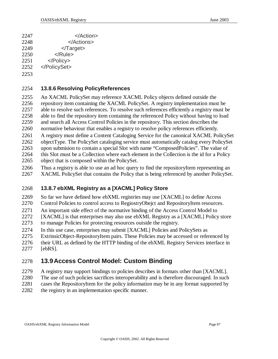#### **13.8.6 Resolving PolicyReferences**

 An XACML PolicySet may reference XACML Policy objects defined outside the repository item containing the XACML PolicySet. A registry implementation must be able to resolve such references. To resolve such references efficiently a registry must be able to find the repository item containing the referenced Policy without having to load and search all Access Control Policies in the repository. This section describes the

normative behaviour that enables a registry to resolve policy references efficiently.

- A registry must define a Content Cataloging Service for the canonical XACML PolicySet
- objectType. The PolicySet cataloging service must automatically catalog every PolicySet
- upon submision to contain a special Slot with name "ComposedPolicies". The value of
- this Slot must be a Collection where each element in the Collection is the id for a Policy object that is composed within the PolicySet.
- Thus a registry is able to use an ad hoc query to find the repositoryItem representing an XACML PolicySet that contains the Policy that is being referenced by another PolicySet.

### **13.8.7 ebXML Registry as a [XACML] Policy Store**

- So far we have defined how ebXML registries may use [XACML] to define Access
- Control Policies to control access to RegiostryObejct and RepositoryItem resources.
- An important side effect of the normative binding of the Access Control Model to
- [XACML] is that enterprises may also use ebXML Registry as a [XACML] Policy store to manage Policies for protecting resources outside the registry.
- In this use case, enterprises may submit [XACML] Policies and PolicySets as
- ExtrinsicObject-RepositoryItem pairs. These Policies may be accessed or referenced by their URL as defined by the HTTP binding of the ebXML Registry Services interface in
- [ebRS].

### **13.9Access Control Model: Custom Binding**

A registry may support bindings to policies describes in formats other than [XACML].

- The use of such policies sacrifices interoperability and is therefore discouraged. In such
- cases the RepositoryItem for the policy information may be in any format supported by
- the registry in an implementation specific manner.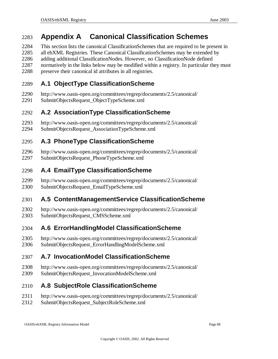# **Appendix A Canonical Classification Schemes**

This section lists the canonical ClassificationSchemes that are required to be present in

all ebXML Registries. These Canonical ClassificationSchemes may be extended by

2286 adding additional ClassificationNodes. However, no ClassificationNode defined<br>2287 normatively in the links below may be modified within a registry. In particular th normatively in the links below may be modified within a registry. In particular they must

preserve their canonical id attributes in all registries.

### **A.1 ObjectType ClassificationScheme**

- http://www.oasis-open.org/committees/regrep/documents/2.5/canonical/
- SubmitObjectsRequest\_ObjectTypeScheme.xml

### **A.2 AssociationType ClassificationScheme**

- http://www.oasis-open.org/committees/regrep/documents/2.5/canonical/
- SubmitObjectsRequest\_AssociationTypeScheme.xml

### **A.3 PhoneType ClassificationScheme**

http://www.oasis-open.org/committees/regrep/documents/2.5/canonical/

SubmitObjectsRequest\_PhoneTypeScheme.xml

### **A.4 EmailType ClassificationScheme**

- http://www.oasis-open.org/committees/regrep/documents/2.5/canonical/
- SubmitObjectsRequest\_EmailTypeScheme.xml

### **A.5 ContentManagementService ClassificationScheme**

- http://www.oasis-open.org/committees/regrep/documents/2.5/canonical/
- SubmitObjectsRequest\_CMSScheme.xml

### **A.6 ErrorHandlingModel ClassificationScheme**

- http://www.oasis-open.org/committees/regrep/documents/2.5/canonical/
- SubmitObjectsRequest\_ErrorHandlingModelScheme.xml

### **A.7 InvocationModel ClassificationScheme**

- http://www.oasis-open.org/committees/regrep/documents/2.5/canonical/
- SubmitObjectsRequest\_InvocationModelScheme.xml

### **A.8 SubjectRole ClassificationScheme**

- http://www.oasis-open.org/committees/regrep/documents/2.5/canonical/
- SubmitObjectsRequest\_SubjectRoleScheme.xml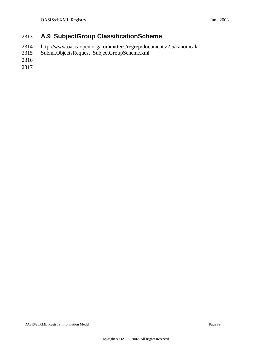# **A.9 SubjectGroup ClassificationScheme**

- http://www.oasis-open.org/committees/regrep/documents/2.5/canonical/
- SubmitObjectsRequest\_SubjectGroupScheme.xml
- 
-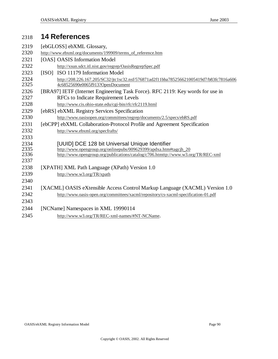# **14 References**

| 2319         | [ebGLOSS] ebXML Glossary,                                                                                                   |
|--------------|-----------------------------------------------------------------------------------------------------------------------------|
| 2320         | http://www.ebxml.org/documents/199909/terms_of_reference.htm                                                                |
| 2321         | [OAS] OASIS Information Model                                                                                               |
| 2322         | http://xsun.sdct.itl.nist.gov/regrep/OasisRegrepSpec.pdf                                                                    |
| 2323         | [ISO] ISO 11179 Information Model                                                                                           |
| 2324<br>2325 | http://208.226.167.205/SC32/jtc1sc32.nsf/576871ad2f11bba785256621005419d7/b83fc7816a606<br>4c68525690e0065f913?OpenDocument |
| 2326         | [BRA97] IETF (Internet Engineering Task Force). RFC 2119: Key words for use in                                              |
| 2327         | RFCs to Indicate Requirement Levels                                                                                         |
| 2328         | http://www.cis.ohio-state.edu/cgi-bin/rfc/rfc2119.html                                                                      |
| 2329         | [ebRS] ebXML Registry Services Specification                                                                                |
| 2330         | http://www.oasisopen.org/committees/regrep/documents/2.5/specs/ebRS.pdf                                                     |
| 2331         | [ebCPP] ebXML Collaboration-Protocol Profile and Agreement Specification                                                    |
| 2332         | http://www.ebxml.org/specfrafts/                                                                                            |
| 2333         |                                                                                                                             |
| 2334         | [UUID] DCE 128 bit Universal Unique Identifier                                                                              |
| 2335         | http://www.opengroup.org/onlinepubs/009629399/apdxa.htm#tagcjh_20                                                           |
| 2336         | http://www.opengroup.org/publications/catalog/c706.htmttp://www.w3.org/TR/REC-xml                                           |
| 2337         |                                                                                                                             |
| 2338         | [XPATH] XML Path Language (XPath) Version 1.0                                                                               |
| 2339         | http://www.w3.org/TR/xpath                                                                                                  |
| 2340         |                                                                                                                             |
| 2341         | [XACML] OASIS eXtensible Access Control Markup Language (XACML) Version 1.0                                                 |
| 2342         | http://www.oasis-open.org/committees/xacml/repository/cs-xacml-specification-01.pdf                                         |
| 2343         |                                                                                                                             |
| 2344         | [NCName] Namespaces in XML 19990114                                                                                         |
| 2345         | http://www.w3.org/TR/REC-xml-names/#NT-NCName.                                                                              |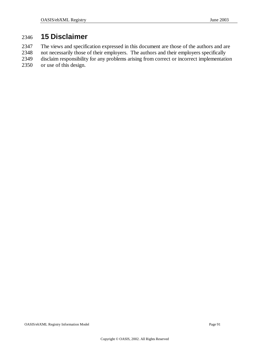## 2346 **15 Disclaimer**

2347 The views and specification expressed in this document are those of the authors and are<br>2348 not necessarily those of their employers. The authors and their employers specifically

not necessarily those of their employers. The authors and their employers specifically 2349 disclaim responsibility for any problems arising from correct or incorrect implementation

2350 or use of this design.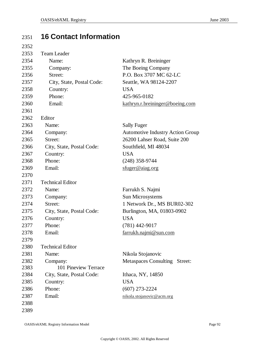# **16 Contact Information**

| 2352 |                           |                                         |
|------|---------------------------|-----------------------------------------|
| 2353 | <b>Team Leader</b>        |                                         |
| 2354 | Name:                     | Kathryn R. Breininger                   |
| 2355 | Company:                  | The Boeing Company                      |
| 2356 | Street:                   | P.O. Box 3707 MC 62-LC                  |
| 2357 | City, State, Postal Code: | Seattle, WA 98124-2207                  |
| 2358 | Country:                  | <b>USA</b>                              |
| 2359 | Phone:                    | 425-965-0182                            |
| 2360 | Email:                    | kathryn.r.breininger@boeing.com         |
| 2361 |                           |                                         |
| 2362 | Editor                    |                                         |
| 2363 | Name:                     | <b>Sally Fuger</b>                      |
| 2364 | Company:                  | <b>Automotive Industry Action Group</b> |
| 2365 | Street:                   | 26200 Lahser Road, Suite 200            |
| 2366 | City, State, Postal Code: | Southfield, MI 48034                    |
| 2367 | Country:                  | <b>USA</b>                              |
| 2368 | Phone:                    | $(248)$ 358-9744                        |
| 2369 | Email:                    | sfuger@aiag.org                         |
| 2370 |                           |                                         |
| 2371 | <b>Technical Editor</b>   |                                         |
| 2372 | Name:                     | Farrukh S. Najmi                        |
| 2373 | Company:                  | Sun Microsystems                        |
| 2374 | Street:                   | 1 Network Dr., MS BUR02-302             |
| 2375 | City, State, Postal Code: | Burlington, MA, 01803-0902              |
| 2376 | Country:                  | <b>USA</b>                              |
| 2377 | Phone:                    | $(781)$ 442-9017                        |
| 2378 | Email:                    | farrukh.najmi@sun.com                   |
| 2379 |                           |                                         |
| 2380 | <b>Technical Editor</b>   |                                         |
| 2381 | Name:                     | Nikola Stojanovic                       |
| 2382 | Company:                  | <b>Metaspaces Consulting</b><br>Street: |
| 2383 | 101 Pineview Terrace      |                                         |
| 2384 | City, State, Postal Code: | Ithaca, NY, 14850                       |
| 2385 | Country:                  | <b>USA</b>                              |
| 2386 | Phone:                    | $(607)$ 273-2224                        |
| 2387 | Email:                    | nikola.stojanovic@acm.org               |
| 2388 |                           |                                         |
| 2389 |                           |                                         |